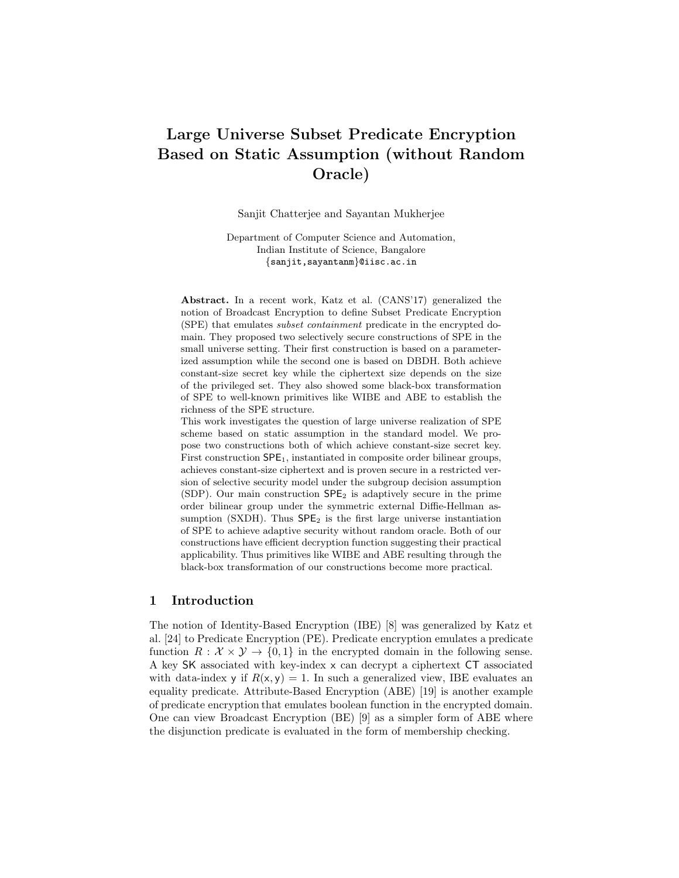# Large Universe Subset Predicate Encryption Based on Static Assumption (without Random Oracle)

Sanjit Chatterjee and Sayantan Mukherjee

Department of Computer Science and Automation, Indian Institute of Science, Bangalore {sanjit,sayantanm}@iisc.ac.in

Abstract. In a recent work, Katz et al. (CANS'17) generalized the notion of Broadcast Encryption to define Subset Predicate Encryption (SPE) that emulates subset containment predicate in the encrypted domain. They proposed two selectively secure constructions of SPE in the small universe setting. Their first construction is based on a parameterized assumption while the second one is based on DBDH. Both achieve constant-size secret key while the ciphertext size depends on the size of the privileged set. They also showed some black-box transformation of SPE to well-known primitives like WIBE and ABE to establish the richness of the SPE structure.

This work investigates the question of large universe realization of SPE scheme based on static assumption in the standard model. We propose two constructions both of which achieve constant-size secret key. First construction  $\mathsf{SPE}_1$ , instantiated in composite order bilinear groups, achieves constant-size ciphertext and is proven secure in a restricted version of selective security model under the subgroup decision assumption (SDP). Our main construction  $\mathsf{SPE}_2$  is adaptively secure in the prime order bilinear group under the symmetric external Diffie-Hellman assumption (SXDH). Thus  $\mathsf{SPE}_2$  is the first large universe instantiation of SPE to achieve adaptive security without random oracle. Both of our constructions have efficient decryption function suggesting their practical applicability. Thus primitives like WIBE and ABE resulting through the black-box transformation of our constructions become more practical.

# 1 Introduction

The notion of Identity-Based Encryption (IBE) [8] was generalized by Katz et al. [24] to Predicate Encryption (PE). Predicate encryption emulates a predicate function  $R : \mathcal{X} \times \mathcal{Y} \rightarrow \{0,1\}$  in the encrypted domain in the following sense. A key SK associated with key-index x can decrypt a ciphertext CT associated with data-index y if  $R(x, y) = 1$ . In such a generalized view, IBE evaluates an equality predicate. Attribute-Based Encryption (ABE) [19] is another example of predicate encryption that emulates boolean function in the encrypted domain. One can view Broadcast Encryption (BE) [9] as a simpler form of ABE where the disjunction predicate is evaluated in the form of membership checking.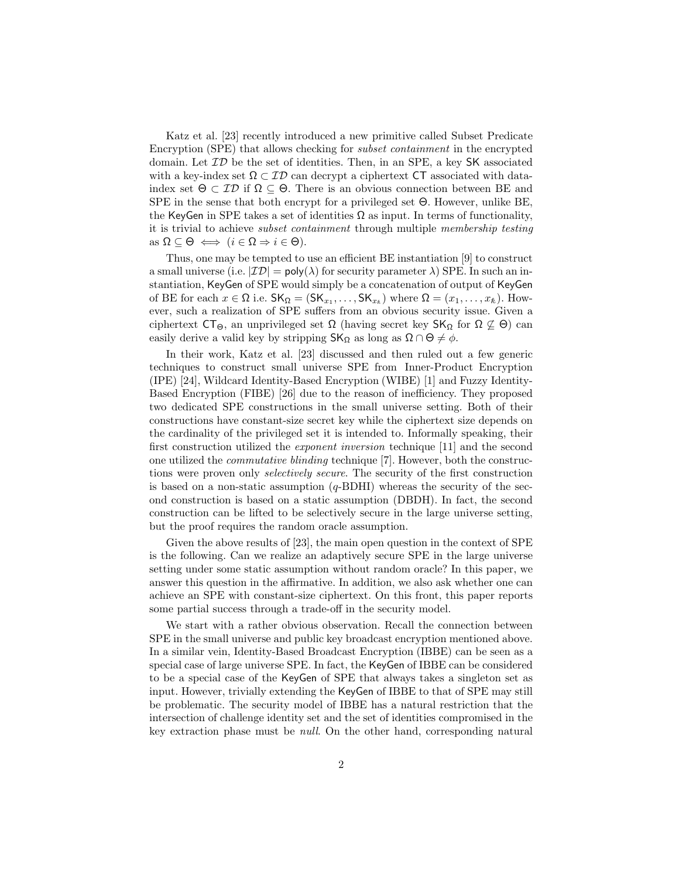Katz et al. [23] recently introduced a new primitive called Subset Predicate Encryption (SPE) that allows checking for subset containment in the encrypted domain. Let  $\mathcal{ID}$  be the set of identities. Then, in an SPE, a key SK associated with a key-index set  $\Omega \subset \mathcal{ID}$  can decrypt a ciphertext CT associated with dataindex set  $\Theta \subset \mathcal{ID}$  if  $\Omega \subseteq \Theta$ . There is an obvious connection between BE and SPE in the sense that both encrypt for a privileged set Θ. However, unlike BE, the KeyGen in SPE takes a set of identities  $\Omega$  as input. In terms of functionality, it is trivial to achieve subset containment through multiple membership testing as  $\Omega \subseteq \Theta \iff (i \in \Omega \Rightarrow i \in \Theta).$ 

Thus, one may be tempted to use an efficient BE instantiation [9] to construct a small universe (i.e.  $|\mathcal{ID}| = \text{poly}(\lambda)$  for security parameter  $\lambda$ ) SPE. In such an instantiation, KeyGen of SPE would simply be a concatenation of output of KeyGen of BE for each  $x \in \Omega$  i.e.  $\mathsf{SK}_{\Omega} = (\mathsf{SK}_{x_1}, \ldots, \mathsf{SK}_{x_k})$  where  $\Omega = (x_1, \ldots, x_k)$ . However, such a realization of SPE suffers from an obvious security issue. Given a ciphertext  $CT_{\Theta}$ , an unprivileged set  $\Omega$  (having secret key  $SK_{\Omega}$  for  $\Omega \not\subseteq \Theta$ ) can easily derive a valid key by stripping  $\mathsf{SK}_{\Omega}$  as long as  $\Omega \cap \Theta \neq \emptyset$ .

In their work, Katz et al. [23] discussed and then ruled out a few generic techniques to construct small universe SPE from Inner-Product Encryption (IPE) [24], Wildcard Identity-Based Encryption (WIBE) [1] and Fuzzy Identity-Based Encryption (FIBE) [26] due to the reason of inefficiency. They proposed two dedicated SPE constructions in the small universe setting. Both of their constructions have constant-size secret key while the ciphertext size depends on the cardinality of the privileged set it is intended to. Informally speaking, their first construction utilized the exponent inversion technique [11] and the second one utilized the commutative blinding technique [7]. However, both the constructions were proven only *selectively secure*. The security of the first construction is based on a non-static assumption  $(q$ -BDHI) whereas the security of the second construction is based on a static assumption (DBDH). In fact, the second construction can be lifted to be selectively secure in the large universe setting, but the proof requires the random oracle assumption.

Given the above results of [23], the main open question in the context of SPE is the following. Can we realize an adaptively secure SPE in the large universe setting under some static assumption without random oracle? In this paper, we answer this question in the affirmative. In addition, we also ask whether one can achieve an SPE with constant-size ciphertext. On this front, this paper reports some partial success through a trade-off in the security model.

We start with a rather obvious observation. Recall the connection between SPE in the small universe and public key broadcast encryption mentioned above. In a similar vein, Identity-Based Broadcast Encryption (IBBE) can be seen as a special case of large universe SPE. In fact, the KeyGen of IBBE can be considered to be a special case of the KeyGen of SPE that always takes a singleton set as input. However, trivially extending the KeyGen of IBBE to that of SPE may still be problematic. The security model of IBBE has a natural restriction that the intersection of challenge identity set and the set of identities compromised in the key extraction phase must be null. On the other hand, corresponding natural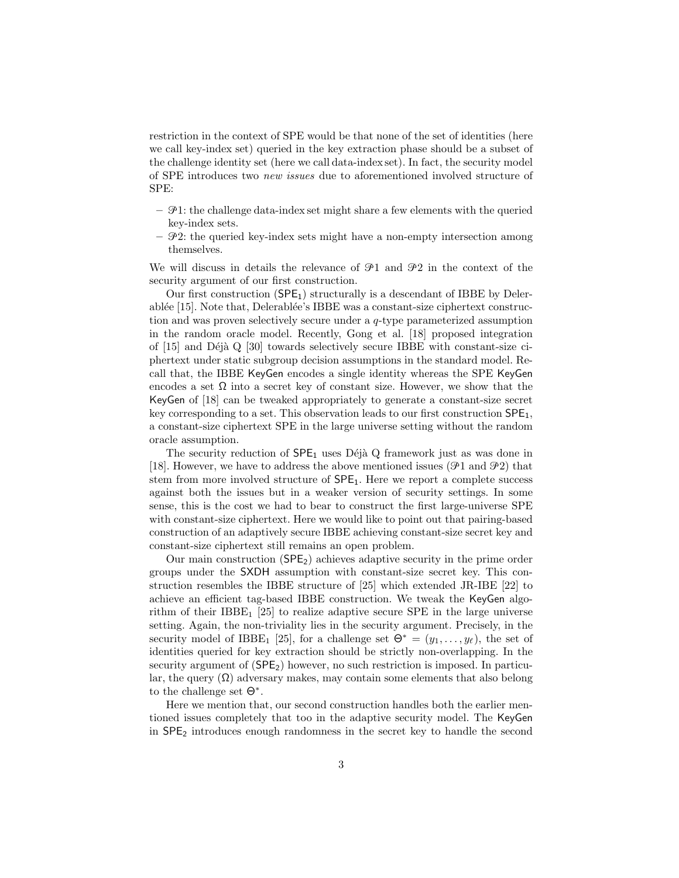restriction in the context of SPE would be that none of the set of identities (here we call key-index set) queried in the key extraction phase should be a subset of the challenge identity set (here we call data-index set). In fact, the security model of SPE introduces two new issues due to aforementioned involved structure of SPE:

- $\mathcal{P}1$ : the challenge data-index set might share a few elements with the queried key-index sets.
- $\mathcal{P}2$ : the queried key-index sets might have a non-empty intersection among themselves.

We will discuss in details the relevance of  $\mathcal{P}1$  and  $\mathcal{P}2$  in the context of the security argument of our first construction.

Our first construction  $(SPE<sub>1</sub>)$  structurally is a descendant of IBBE by Delerablée  $[15]$ . Note that, Delerablée's IBBE was a constant-size ciphertext construction and was proven selectively secure under a q-type parameterized assumption in the random oracle model. Recently, Gong et al. [18] proposed integration of  $[15]$  and Déjà Q  $[30]$  towards selectively secure IBBE with constant-size ciphertext under static subgroup decision assumptions in the standard model. Recall that, the IBBE KeyGen encodes a single identity whereas the SPE KeyGen encodes a set  $\Omega$  into a secret key of constant size. However, we show that the KeyGen of [18] can be tweaked appropriately to generate a constant-size secret key corresponding to a set. This observation leads to our first construction  $SPE<sub>1</sub>$ , a constant-size ciphertext SPE in the large universe setting without the random oracle assumption.

The security reduction of  $\mathsf{SPE}_1$  uses Déjà Q framework just as was done in [18]. However, we have to address the above mentioned issues ( $\mathcal{P}1$  and  $\mathcal{P}2$ ) that stem from more involved structure of SPE1. Here we report a complete success against both the issues but in a weaker version of security settings. In some sense, this is the cost we had to bear to construct the first large-universe SPE with constant-size ciphertext. Here we would like to point out that pairing-based construction of an adaptively secure IBBE achieving constant-size secret key and constant-size ciphertext still remains an open problem.

Our main construction  $(SPE<sub>2</sub>)$  achieves adaptive security in the prime order groups under the SXDH assumption with constant-size secret key. This construction resembles the IBBE structure of [25] which extended JR-IBE [22] to achieve an efficient tag-based IBBE construction. We tweak the KeyGen algorithm of their IBBE<sub>1</sub> [25] to realize adaptive secure SPE in the large universe setting. Again, the non-triviality lies in the security argument. Precisely, in the security model of IBBE<sub>1</sub> [25], for a challenge set  $\Theta^* = (y_1, \ldots, y_\ell)$ , the set of identities queried for key extraction should be strictly non-overlapping. In the security argument of  $(SPE<sub>2</sub>)$  however, no such restriction is imposed. In particular, the query  $(\Omega)$  adversary makes, may contain some elements that also belong to the challenge set  $\Theta^*$ .

Here we mention that, our second construction handles both the earlier mentioned issues completely that too in the adaptive security model. The KeyGen in SPE<sup>2</sup> introduces enough randomness in the secret key to handle the second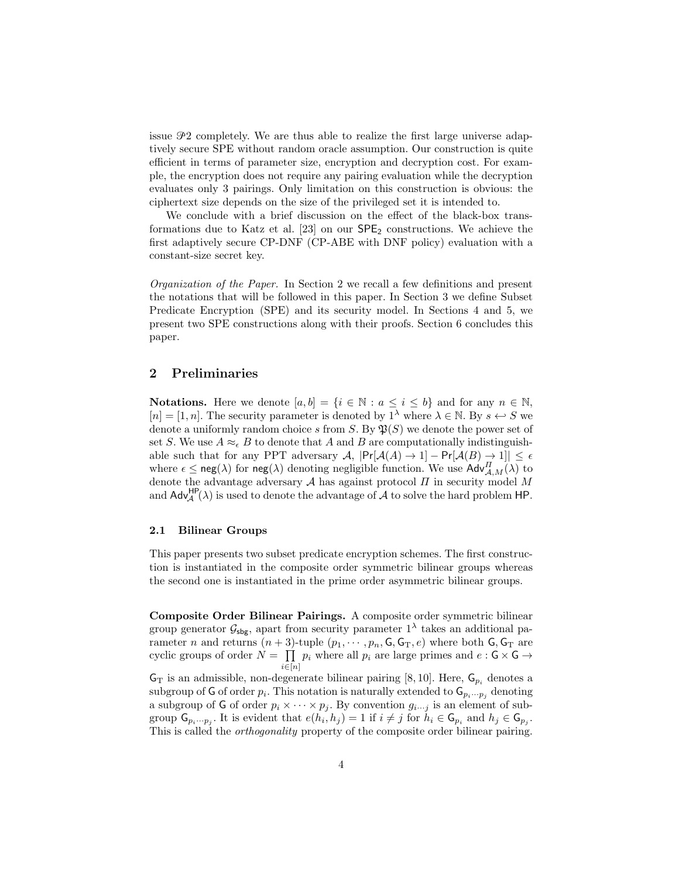issue  $\mathcal{P}2$  completely. We are thus able to realize the first large universe adaptively secure SPE without random oracle assumption. Our construction is quite efficient in terms of parameter size, encryption and decryption cost. For example, the encryption does not require any pairing evaluation while the decryption evaluates only 3 pairings. Only limitation on this construction is obvious: the ciphertext size depends on the size of the privileged set it is intended to.

We conclude with a brief discussion on the effect of the black-box transformations due to Katz et al.  $[23]$  on our  $\text{SPE}_2$  constructions. We achieve the first adaptively secure CP-DNF (CP-ABE with DNF policy) evaluation with a constant-size secret key.

Organization of the Paper. In Section 2 we recall a few definitions and present the notations that will be followed in this paper. In Section 3 we define Subset Predicate Encryption (SPE) and its security model. In Sections 4 and 5, we present two SPE constructions along with their proofs. Section 6 concludes this paper.

## 2 Preliminaries

**Notations.** Here we denote  $[a, b] = \{i \in \mathbb{N} : a \leq i \leq b\}$  and for any  $n \in \mathbb{N}$ ,  $[n] = [1, n]$ . The security parameter is denoted by  $1^{\lambda}$  where  $\lambda \in \mathbb{N}$ . By  $s \leftrightarrow S$  we denote a uniformly random choice s from S. By  $\mathfrak{B}(S)$  we denote the power set of set S. We use  $A \approx_{\epsilon} B$  to denote that A and B are computationally indistinguishable such that for any PPT adversary  $\mathcal{A}$ ,  $|\Pr[\mathcal{A}(A) \to 1] - \Pr[\mathcal{A}(B) \to 1]| \leq \epsilon$ where  $\epsilon \leq \text{neg}(\lambda)$  for  $\text{neg}(\lambda)$  denoting negligible function. We use  $\text{Adv}_{\mathcal{A},M}^{\Pi}(\lambda)$  to denote the advantage adversary  $A$  has against protocol  $\Pi$  in security model  $M$ and  $\mathsf{Adv}_{\mathcal{A}}^{\mathsf{HP}}(\lambda)$  is used to denote the advantage of  $\mathcal A$  to solve the hard problem HP.

## 2.1 Bilinear Groups

This paper presents two subset predicate encryption schemes. The first construction is instantiated in the composite order symmetric bilinear groups whereas the second one is instantiated in the prime order asymmetric bilinear groups.

Composite Order Bilinear Pairings. A composite order symmetric bilinear group generator  $\mathcal{G}_{\text{sbg}}$ , apart from security parameter  $1^{\lambda}$  takes an additional parameter *n* and returns  $(n+3)$ -tuple  $(p_1, \dots, p_n, \mathsf{G}, \mathsf{G}_T, e)$  where both  $\mathsf{G}, \mathsf{G}_T$  are cyclic groups of order  $N = \prod p_i$  where all  $p_i$  are large primes and  $e : G \times G \rightarrow$  $i \in [n]$  $G_T$  is an admissible, non-degenerate bilinear pairing [8, 10]. Here,  $G_{p_i}$  denotes a

subgroup of G of order  $p_i$ . This notation is naturally extended to  $\mathsf{G}_{p_i\cdots p_j}$  denoting a subgroup of G of order  $p_i \times \cdots \times p_j$ . By convention  $g_{i \cdots j}$  is an element of subgroup  $\mathsf{G}_{p_i\cdots p_j}$ . It is evident that  $e(h_i, h_j) = 1$  if  $i \neq j$  for  $h_i \in \mathsf{G}_{p_i}$  and  $h_j \in \mathsf{G}_{p_j}$ . This is called the orthogonality property of the composite order bilinear pairing.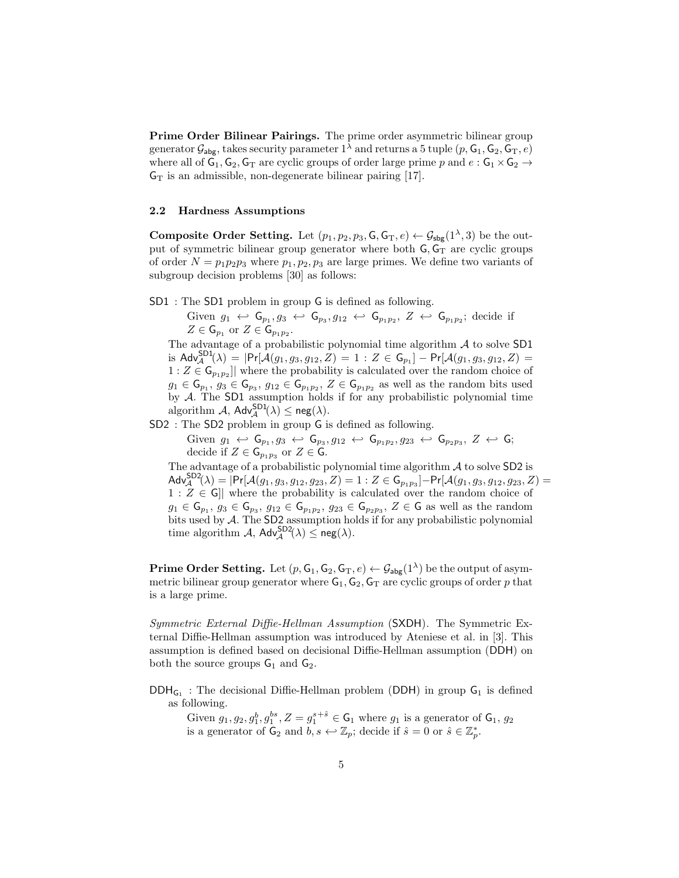Prime Order Bilinear Pairings. The prime order asymmetric bilinear group generator  $\mathcal{G}_{\text{abs}}$ , takes security parameter  $1^{\lambda}$  and returns a 5 tuple  $(p, \mathsf{G}_1, \mathsf{G}_2, \mathsf{G}_T, e)$ where all of  $G_1, G_2, G_T$  are cyclic groups of order large prime p and  $e : G_1 \times G_2 \rightarrow$  $G_T$  is an admissible, non-degenerate bilinear pairing [17].

#### 2.2 Hardness Assumptions

**Composite Order Setting.** Let  $(p_1, p_2, p_3, \mathsf{G}, \mathsf{G}_T, e) \leftarrow \mathcal{G}_{\mathsf{sbg}}(1^\lambda, 3)$  be the output of symmetric bilinear group generator where both  $G$ ,  $G_T$  are cyclic groups of order  $N = p_1p_2p_3$  where  $p_1, p_2, p_3$  are large primes. We define two variants of subgroup decision problems [30] as follows:

SD1 : The SD1 problem in group G is defined as following.

Given  $g_1 \leftrightarrow G_{p_1}, g_3 \leftrightarrow G_{p_3}, g_{12} \leftrightarrow G_{p_1p_2}, Z \leftrightarrow G_{p_1p_2}$ ; decide if  $Z \in \mathsf{G}_{p_1}$  or  $Z \in \mathsf{G}_{p_1p_2}$ .

The advantage of a probabilistic polynomial time algorithm  $A$  to solve SD1 is  $\mathsf{Adv}_{\mathcal{A}}^{\mathsf{SD1}}(\lambda) = |\mathsf{Pr}[\mathcal{A}(g_1, g_3, g_{12}, Z) = 1 : Z \in \mathsf{G}_{p_1}] - \mathsf{Pr}[\mathcal{A}(g_1, g_3, g_{12}, Z) =$  $1: Z \in \mathsf{G}_{p_1p_2}$  where the probability is calculated over the random choice of  $g_1 \in \mathsf{G}_{p_1}, g_3 \in \mathsf{G}_{p_3}, g_{12} \in \mathsf{G}_{p_1p_2}, Z \in \mathsf{G}_{p_1p_2}$  as well as the random bits used by  $A$ . The SD1 assumption holds if for any probabilistic polynomial time algorithm  $A$ ,  $\mathsf{Adv}_{\mathcal{A}}^{\mathsf{SD1}}(\lambda) \leq \mathsf{neg}(\lambda)$ .

SD2 : The SD2 problem in group G is defined as following.

 $\text{Given } g_1 \leftrightarrow \mathsf{G}_{p_1}, g_3 \leftrightarrow \mathsf{G}_{p_3}, g_{12} \leftrightarrow \mathsf{G}_{p_1p_2}, g_{23} \leftrightarrow \mathsf{G}_{p_2p_3}, Z \leftrightarrow \mathsf{G};$ decide if  $Z \in \mathsf{G}_{p_1p_3}$  or  $Z \in \mathsf{G}$ .

The advantage of a probabilistic polynomial time algorithm  $A$  to solve SD2 is  $\mathsf{Adv}_{\mathcal{A}}^{\mathsf{SD2}}(\lambda) = |\mathsf{Pr}[\mathcal{A}(g_1,g_3,g_{12},g_{23},Z) = 1 : Z \in \mathsf{G}_{p_1p_3}] - \mathsf{Pr}[\mathcal{A}(g_1,g_3,g_{12},g_{23},Z) =$  $1: Z \in \mathsf{G}$  where the probability is calculated over the random choice of  $g_1 \in \mathsf{G}_{p_1}, g_3 \in \mathsf{G}_{p_3}, g_{12} \in \mathsf{G}_{p_1p_2}, g_{23} \in \mathsf{G}_{p_2p_3}, Z \in \mathsf{G}$  as well as the random bits used by A. The SD2 assumption holds if for any probabilistic polynomial time algorithm  $A$ ,  $\mathsf{Adv}_{\mathcal{A}}^{\mathsf{SD2}}(\lambda) \leq \mathsf{neg}(\lambda)$ .

**Prime Order Setting.** Let  $(p, G_1, G_2, G_T, e) \leftarrow \mathcal{G}_{\text{abg}}(1^{\lambda})$  be the output of asymmetric bilinear group generator where  $G_1, G_2, G_T$  are cyclic groups of order p that is a large prime.

Symmetric External Diffie-Hellman Assumption (SXDH). The Symmetric External Diffie-Hellman assumption was introduced by Ateniese et al. in [3]. This assumption is defined based on decisional Diffie-Hellman assumption (DDH) on both the source groups  $G_1$  and  $G_2$ .

 $DDH_{G_1}$ : The decisional Diffie-Hellman problem (DDH) in group  $G_1$  is defined as following.

Given  $g_1, g_2, g_1^b, g_1^{bs}, Z = g_1^{s+\hat{s}} \in \mathsf{G}_1$  where  $g_1$  is a generator of  $\mathsf{G}_1, g_2$ is a generator of  $\mathsf{G}_2$  and  $b, s \leftrightarrow \mathbb{Z}_p$ ; decide if  $\hat{s} = 0$  or  $\hat{s} \in \mathbb{Z}_p^*$ .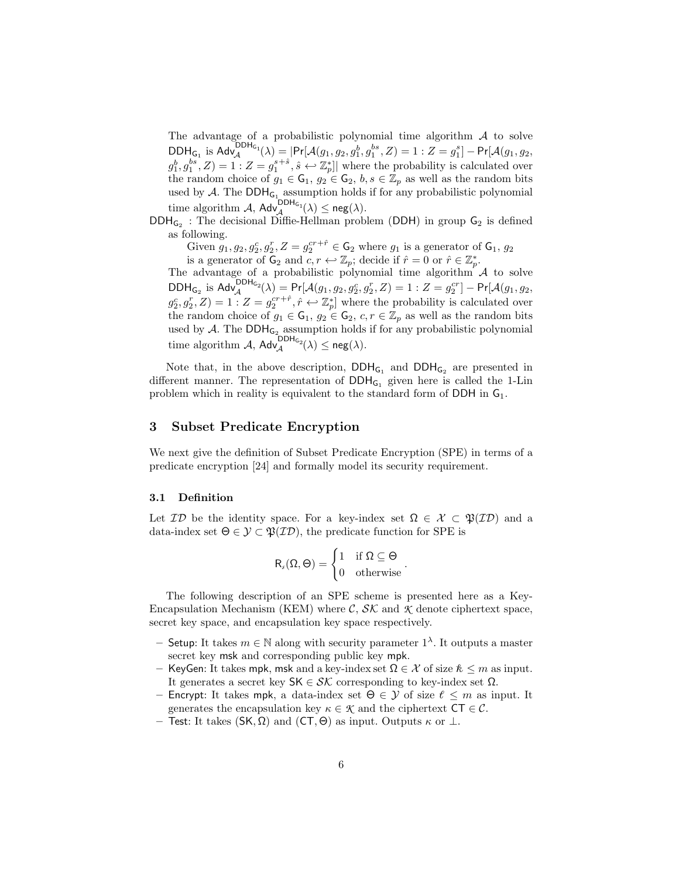The advantage of a probabilistic polynomial time algorithm  $A$  to solve  $\mathsf{DDH}_{\mathsf{G}_1}$  is  $\mathsf{Adv}_{\mathcal{A}}^{\mathsf{DDH}_{\mathsf{G}_1}}(\lambda) = |\mathsf{Pr}[\mathcal{A}(g_1, g_2, g_1^b, g_1^{bs}, Z) = 1: Z = g_1^s] - \mathsf{Pr}[\mathcal{A}(g_1, g_2, g_2^{bs}, Z)]$  $(g_1^b, g_1^{bs}, Z) = 1: Z = g_1^{s+\hat{s}}, \hat{s} \leftrightarrow \mathbb{Z}_p^*$  where the probability is calculated over the random choice of  $g_1 \in \mathsf{G}_1$ ,  $g_2 \in \mathsf{G}_2$ ,  $b, s \in \mathbb{Z}_p$  as well as the random bits used by  $A$ . The  $DDH_{G_1}$  assumption holds if for any probabilistic polynomial time algorithm  $\mathcal{A}$ ,  $\mathsf{Adv}_{\mathcal{A}}^{\mathsf{DDH}_{G_1}}(\lambda) \le \mathsf{neg}(\lambda)$ .

 $DDH_{G_2}$ : The decisional Diffie-Hellman problem (DDH) in group  $G_2$  is defined as following.

Given  $g_1, g_2, g_2^c, g_2^r, Z = g_2^{cr+\hat{r}} \in \mathsf{G}_2$  where  $g_1$  is a generator of  $\mathsf{G}_1, g_2$ 

is a generator of  $\mathsf{G}_2$  and  $c, r \leftrightarrow \mathbb{Z}_p$ ; decide if  $\hat{r} = 0$  or  $\hat{r} \in \mathbb{Z}_p^*$ .

The advantage of a probabilistic polynomial time algorithm  $\mathcal A$  to solve  $\mathsf{DDH}_{\mathsf{G}_2}$  is  $\mathsf{Adv}_{\mathcal{A}}^{\mathsf{DDH}_{\mathsf{G}_2}}(\lambda) = \mathsf{Pr}[\mathcal{A}(g_1, g_2, g_2^c, g_2^r, Z) = 1: Z = g_2^{cr}] - \mathsf{Pr}[\mathcal{A}(g_1, g_2, g_2^c, g_2^r, Z)]$  $g_2^c, g_2^r, Z$  = 1 :  $Z = g_2^{cr + \hat{r}}, \hat{r} \leftrightarrow \mathbb{Z}_{p}^{*}$  where the probability is calculated over the random choice of  $g_1 \in \mathsf{G}_1$ ,  $g_2 \in \mathsf{G}_2$ ,  $c, r \in \mathbb{Z}_p$  as well as the random bits used by  $A$ . The DDH<sub>G<sub>2</sub></sub> assumption holds if for any probabilistic polynomial time algorithm  $\mathcal{A}$ ,  $\mathsf{Adv}_{\mathcal{A}}^{\mathsf{DDH}_{G_2}}(\lambda) \leq \mathsf{neg}(\lambda).$ 

Note that, in the above description,  $DDH_{G_1}$  and  $DDH_{G_2}$  are presented in different manner. The representation of  $DDH_{G_1}$  given here is called the 1-Lin problem which in reality is equivalent to the standard form of DDH in  $G_1$ .

# 3 Subset Predicate Encryption

We next give the definition of Subset Predicate Encryption (SPE) in terms of a predicate encryption [24] and formally model its security requirement.

## 3.1 Definition

Let  $\mathcal{ID}$  be the identity space. For a key-index set  $\Omega \in \mathcal{X} \subset \mathfrak{P}(\mathcal{ID})$  and a data-index set  $\Theta \in \mathcal{Y} \subset \mathfrak{P}(\mathcal{ID})$ , the predicate function for SPE is

$$
R_s(\Omega,\Theta)=\begin{cases} 1 & \text{if } \Omega\subseteq\Theta \\ 0 & \text{otherwise}\end{cases}.
$$

The following description of an SPE scheme is presented here as a Key-Encapsulation Mechanism (KEM) where  $\mathcal{C}, \mathcal{SK}$  and  $\mathcal{K}$  denote ciphertext space, secret key space, and encapsulation key space respectively.

- $-$  Setup: It takes  $m ∈ ℕ$  along with security parameter 1<sup>λ</sup>. It outputs a master secret key msk and corresponding public key mpk.
- KeyGen: It takes mpk, msk and a key-index set  $\Omega \in \mathcal{X}$  of size  $\mathcal{K} \leq m$  as input. It generates a secret key  $\mathsf{SK} \in \mathcal{SK}$  corresponding to key-index set  $\Omega$ .
- Encrypt: It takes mpk, a data-index set  $\Theta \in \mathcal{Y}$  of size  $\ell \leq m$  as input. It generates the encapsulation key  $\kappa \in \mathcal{K}$  and the ciphertext  $CT \in \mathcal{C}$ .
- Test: It takes (SK, Ω) and (CT,  $\Theta$ ) as input. Outputs  $\kappa$  or  $\perp$ .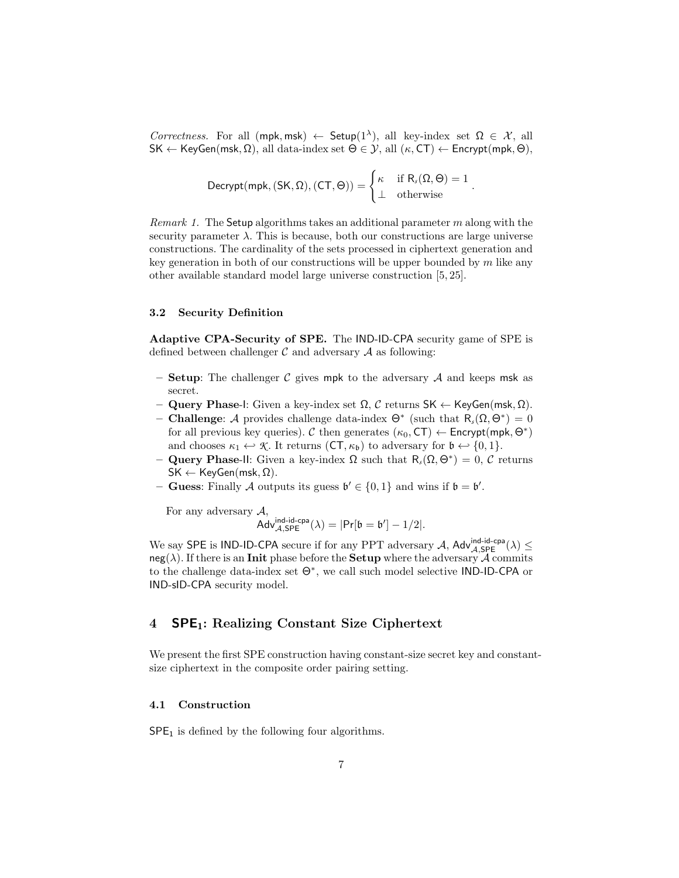Correctness. For all  $(mpk, msk) \leftarrow \mathsf{Setup}(1^{\lambda})$ , all key-index set  $\Omega \in \mathcal{X}$ , all  $\mathsf{SK} \leftarrow \mathsf{KeyGen}(\mathsf{msk}, \Omega)$ , all data-index set  $\Theta \in \mathcal{Y}$ , all  $(\kappa, \mathsf{CT}) \leftarrow \mathsf{Encrypt}(\mathsf{mpk}, \Theta)$ ,

$$
\text{Decrypt}(mpk, (SK, \Omega), (CT, \Theta)) = \left\{ \begin{matrix} \kappa & \text{if } R_s(\Omega, \Theta) = 1 \\ \bot & \text{otherwise} \end{matrix} \right.
$$

.

*Remark 1.* The Setup algorithms takes an additional parameter m along with the security parameter  $\lambda$ . This is because, both our constructions are large universe constructions. The cardinality of the sets processed in ciphertext generation and key generation in both of our constructions will be upper bounded by  $m$  like any other available standard model large universe construction [5, 25].

## 3.2 Security Definition

Adaptive CPA-Security of SPE. The IND-ID-CPA security game of SPE is defined between challenger  $\mathcal C$  and adversary  $\mathcal A$  as following:

- Setup: The challenger C gives mpk to the adversary A and keeps msk as secret.
- Query Phase-I: Given a key-index set Ω, C returns SK ← KeyGen(msk, Ω).
- **Challenge**: *A* provides challenge data-index  $Θ^*$  (such that  $R_s(Ω, Θ^*) = 0$ for all previous key queries). C then generates  $(\kappa_0, \text{CT}) \leftarrow \text{Encrypt}(\text{mpk}, \Theta^*)$ and chooses  $\kappa_1 \leftrightarrow \mathcal{K}$ . It returns  $(CT, \kappa_b)$  to adversary for  $\mathfrak{b} \leftrightarrow \{0, 1\}$ .
- $-$  **Query Phase-II**: Given a key-index Ω such that  $R_s(Ω, Θ^*) = 0$ , *C* returns  $SK \leftarrow KeyGen(msk, \Omega).$
- Guess: Finally A outputs its guess  $\mathfrak{b}' \in \{0,1\}$  and wins if  $\mathfrak{b} = \mathfrak{b}'$ .

For any adversary  $A$ ,

$$
\operatorname{Adv}_{\mathcal{A}, \mathsf{SPE}}^{\mathsf{ind-id-cpa}}(\lambda) = |\mathsf{Pr}[\mathfrak{b}=\mathfrak{b}'] - 1/2|.
$$

We say SPE is IND-ID-CPA secure if for any PPT adversary A,  $\mathsf{Adv}_{\mathcal{A},\mathsf{SPE}}^{ind-id-cpa}(\lambda) \leq$  $neg(\lambda)$ . If there is an **Init** phase before the **Setup** where the adversary A commits to the challenge data-index set Θ<sup>∗</sup> , we call such model selective IND-ID-CPA or IND-sID-CPA security model.

# 4 **SPE**<sub>1</sub>: Realizing Constant Size Ciphertext

We present the first SPE construction having constant-size secret key and constantsize ciphertext in the composite order pairing setting.

### 4.1 Construction

 $SPE<sub>1</sub>$  is defined by the following four algorithms.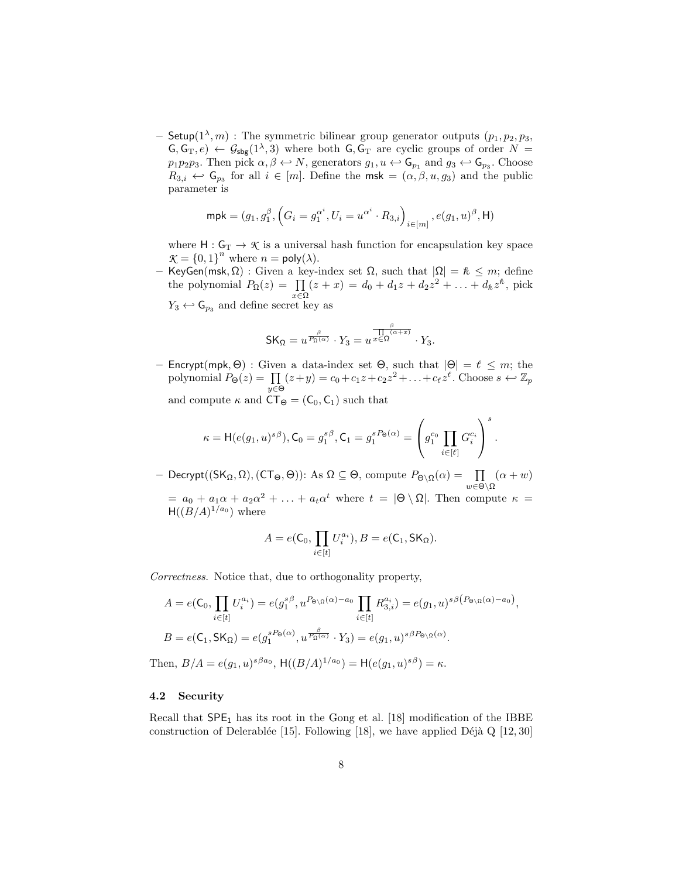- Setup $(1^{\lambda}, m)$ : The symmetric bilinear group generator outputs  $(p_1, p_2, p_3, p_4)$  $\mathsf{G},\mathsf{G}_T,e\rangle \leftarrow \mathcal{G}_{\mathsf{sbg}}(1^{\lambda},3)$  where both  $\mathsf{G},\mathsf{G}_T$  are cyclic groups of order  $N=$  $p_1p_2p_3$ . Then pick  $\alpha, \beta \leftrightarrow N$ , generators  $g_1, u \leftrightarrow \mathsf{G}_{p_1}$  and  $g_3 \leftrightarrow \mathsf{G}_{p_3}$ . Choose  $R_{3,i} \leftrightarrow \mathsf{G}_{p_3}$  for all  $i \in [m]$ . Define the msk =  $(\alpha, \beta, u, g_3)$  and the public parameter is

$$
\mathsf{mpk} = (g_1, g_1^{\beta}, \left( G_i = g_1^{\alpha^i}, U_i = u^{\alpha^i} \cdot R_{3,i} \right)_{i \in [m]}, e(g_1, u)^{\beta}, \mathsf{H})
$$

where  $H: G_T \to \mathcal{K}$  is a universal hash function for encapsulation key space  $\mathcal{K} = \{0, 1\}^n$  where  $n = \text{poly}(\lambda)$ .

– KeyGen(msk, Ω) : Given a key-index set Ω, such that  $|\Omega| = \kappa ≤ m$ ; define the polynomial  $P_{\Omega}(z) = \prod_{x \in \Omega} (z + x) = d_0 + d_1 z + d_2 z^2 + \ldots + d_k z^k$ , pick  $Y_3 \leftrightarrow \mathsf{G}_{p_3}$  and define secret key as

$$
\mathsf{SK}_\Omega = u^{\frac{\beta}{P_\Omega(\alpha)}} \cdot Y_3 = u^{\frac{\beta}{\prod_{\alpha \in \Omega} (\alpha + x)}} \cdot Y_3.
$$

– Encrypt(mpk,  $\Theta$ ) : Given a data-index set  $\Theta$ , such that  $|\Theta| = \ell \leq m$ ; the polynomial  $P_{\Theta}(z) = \prod_{y \in \Theta} (z+y) = c_0 + c_1 z + c_2 z^2 + \ldots + c_{\ell} z^{\ell}$ . Choose  $s \leftarrow \mathbb{Z}_p$ and compute  $\kappa$  and  $CT_{\Theta} = (C_0, C_1)$  such that

$$
\kappa = \mathsf{H}(e(g_1,u)^{s\beta}), \mathsf{C}_0 = g_1^{s\beta}, \mathsf{C}_1 = g_1^{sP_\Theta(\alpha)} = \left(g_1^{c_0} \prod_{i \in [\ell]} G_i^{c_i} \right)^s.
$$

 $-$  Decrypt((SK<sub>Ω</sub>, Ω), (CT<sub>Θ</sub>, Θ)): As Ω ⊆ Θ, compute  $P_{\Theta \setminus \Omega}(\alpha) = \prod_{w \in \Theta \setminus \Omega}$  $(\alpha + w)$  $= a_0 + a_1 \alpha + a_2 \alpha^2 + \ldots + a_t \alpha^t$  where  $t = |\Theta \setminus \Omega|$ . Then compute  $\kappa =$  $H((B/A)^{1/a_0})$  where

$$
A = e(\mathsf{C}_0, \prod_{i \in [t]} U_i^{a_i}), B = e(\mathsf{C}_1, \mathsf{SK}_{\Omega}).
$$

Correctness. Notice that, due to orthogonality property,

$$
A = e(\mathsf{C}_0, \prod_{i \in [t]} U_i^{a_i}) = e(g_1^{s\beta}, u^{P_{\Theta \setminus \Omega}(\alpha) - a_0} \prod_{i \in [t]} R_{3,i}^{a_i}) = e(g_1, u)^{s\beta \left( P_{\Theta \setminus \Omega}(\alpha) - a_0 \right)},
$$
  
\n
$$
B = e(\mathsf{C}_1, \mathsf{SK}_\Omega) = e(g_1^{s\beta} \cdot u^{B_{\Omega}(\alpha)} \cdot Y_3) = e(g_1, u)^{s\beta P_{\Theta \setminus \Omega}(\alpha)}.
$$
  
\nThen, 
$$
B/A = e(g_1, u)^{s\beta a_0}, \ \mathsf{H}((B/A)^{1/a_0}) = \mathsf{H}(e(g_1, u)^{s\beta}) = \kappa.
$$

#### 4.2 Security

Recall that  $SPE<sub>1</sub>$  has its root in the Gong et al. [18] modification of the IBBE construction of Delerablée [15]. Following [18], we have applied Déjà Q [12, 30]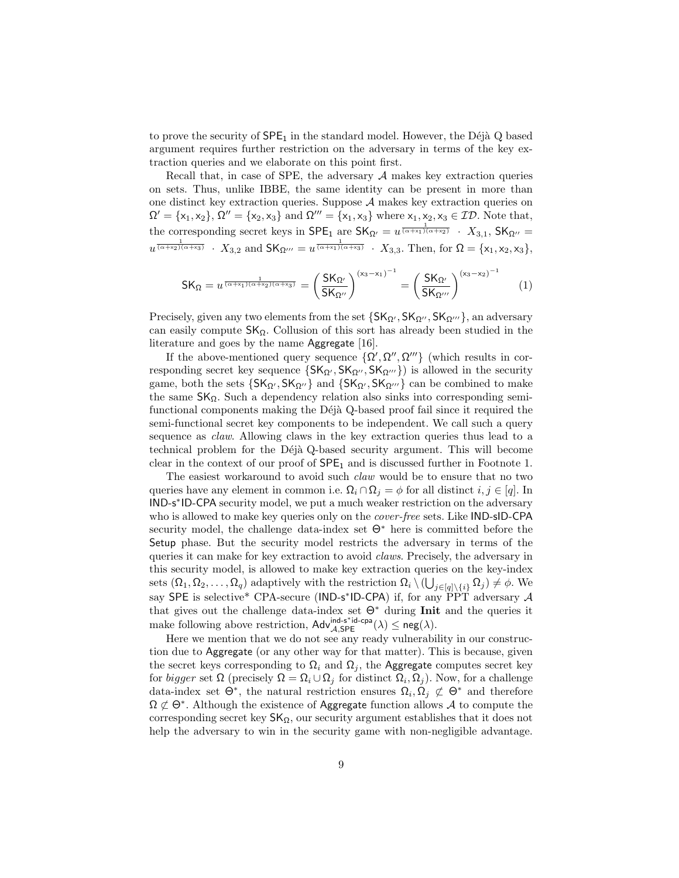to prove the security of  $SPE<sub>1</sub>$  in the standard model. However, the Déjà Q based argument requires further restriction on the adversary in terms of the key extraction queries and we elaborate on this point first.

Recall that, in case of SPE, the adversary  $A$  makes key extraction queries on sets. Thus, unlike IBBE, the same identity can be present in more than one distinct key extraction queries. Suppose A makes key extraction queries on  $\Omega' = {\x_1, x_2}, \, \Omega'' = {\x_2, x_3} \text{ and } \Omega''' = {\x_1, x_3} \text{ where } x_1, x_2, x_3 \in \mathcal{ID}.$  Note that, the corresponding secret keys in  $\mathsf{SPE}_1$  are  $\mathsf{SK}_{\Omega'} = u^{\frac{1}{(\alpha + x_1)(\alpha + x_2)}} \cdot X_{3,1}$ ,  $\mathsf{SK}_{\Omega''} =$  $u^{\frac{1}{(\alpha+x_2)(\alpha+x_3)}}$  ·  $X_{3,2}$  and  $\mathsf{SK}_{\Omega'''} = u^{\frac{1}{(\alpha+x_1)(\alpha+x_3)}}$  ·  $X_{3,3}$ . Then, for  $\Omega = \{x_1, x_2, x_3\}$ ,

$$
SK_{\Omega} = u^{\frac{1}{(\alpha + x_1)(\alpha + x_2)(\alpha + x_3)}} = \left(\frac{SK_{\Omega'}}{SK_{\Omega''}}\right)^{(x_3 - x_1)^{-1}} = \left(\frac{SK_{\Omega'}}{SK_{\Omega'''}}\right)^{(x_3 - x_2)^{-1}}
$$
(1)

Precisely, given any two elements from the set  $\{SK_{\Omega'}, SK_{\Omega''}, SK_{\Omega'''}\}\$ , an adversary can easily compute  $SK_{\Omega}$ . Collusion of this sort has already been studied in the literature and goes by the name Aggregate [16].

If the above-mentioned query sequence  $\{\Omega', \Omega'', \Omega'''\}$  (which results in corresponding secret key sequence  $\{SK_{\Omega'}, SK_{\Omega''}, SK_{\Omega'''}\})$  is allowed in the security game, both the sets  $\{SK_{\Omega'}, SK_{\Omega''}\}\$  and  $\{SK_{\Omega'}, SK_{\Omega'''}\}\$  can be combined to make the same  $SK_{\Omega}$ . Such a dependency relation also sinks into corresponding semifunctional components making the Déjà Q-based proof fail since it required the semi-functional secret key components to be independent. We call such a query sequence as claw. Allowing claws in the key extraction queries thus lead to a technical problem for the Déjà Q-based security argument. This will become clear in the context of our proof of  $\text{SPE}_1$  and is discussed further in Footnote 1.

The easiest workaround to avoid such *claw* would be to ensure that no two queries have any element in common i.e.  $\Omega_i \cap \Omega_j = \phi$  for all distinct  $i, j \in [q]$ . In IND-s ∗ ID-CPA security model, we put a much weaker restriction on the adversary who is allowed to make key queries only on the *cover-free* sets. Like IND-sID-CPA security model, the challenge data-index set  $\Theta^*$  here is committed before the Setup phase. But the security model restricts the adversary in terms of the queries it can make for key extraction to avoid claws. Precisely, the adversary in this security model, is allowed to make key extraction queries on the key-index sets  $(\Omega_1, \Omega_2, \ldots, \Omega_q)$  adaptively with the restriction  $\Omega_i \setminus (\bigcup_{j \in [q] \setminus \{i\}} \Omega_j) \neq \emptyset$ . We say SPE is selective\* CPA-secure (IND-s\*ID-CPA) if, for any  $\overrightarrow{PPT}$  adversary A that gives out the challenge data-index set  $\Theta^*$  during Init and the queries it make following above restriction,  $\mathsf{Adv}_{\mathcal{A}, \mathsf{SPE}}^{\mathsf{ind}\text{-}\mathsf{c}^{\mathsf{pa}}}(\lambda) \leq \mathsf{neg}(\lambda)$ .

Here we mention that we do not see any ready vulnerability in our construction due to Aggregate (or any other way for that matter). This is because, given the secret keys corresponding to  $\Omega_i$  and  $\Omega_j$ , the Aggregate computes secret key for *bigger* set  $\Omega$  (precisely  $\Omega = \Omega_i \cup \Omega_j$  for distinct  $\Omega_i, \Omega_j$ ). Now, for a challenge data-index set  $\Theta^*$ , the natural restriction ensures  $\Omega_i, \Omega_j \not\subset \Theta^*$  and therefore  $\Omega \not\subset \Theta^*$ . Although the existence of Aggregate function allows A to compute the corresponding secret key  $SK_{\Omega}$ , our security argument establishes that it does not help the adversary to win in the security game with non-negligible advantage.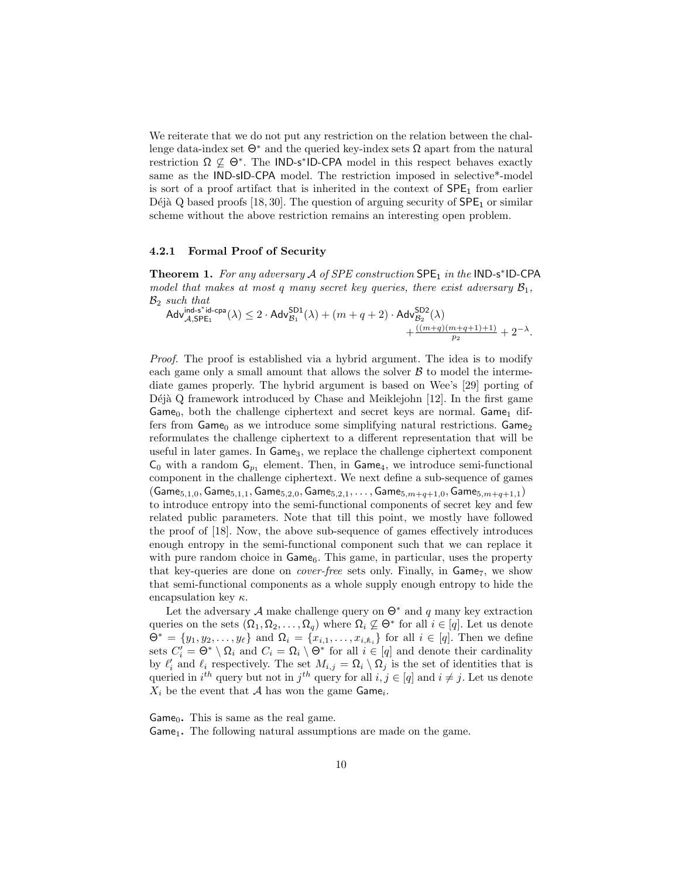We reiterate that we do not put any restriction on the relation between the challenge data-index set  $\Theta^*$  and the queried key-index sets  $\Omega$  apart from the natural restriction  $\Omega \nsubseteq \Theta^*$ . The IND-s<sup>\*</sup>ID-CPA model in this respect behaves exactly same as the IND-sID-CPA model. The restriction imposed in selective\*-model is sort of a proof artifact that is inherited in the context of  $\text{SPE}_1$  from earlier Déjà Q based proofs [18, 30]. The question of arguing security of  $SPE<sub>1</sub>$  or similar scheme without the above restriction remains an interesting open problem.

## 4.2.1 Formal Proof of Security

Theorem 1. For any adversary  $A$  of SPE construction  $\textsf{SPE}_1$  in the IND-s\*ID-CPA model that makes at most q many secret key queries, there exist adversary  $\mathcal{B}_1$ ,  $\mathcal{B}_2$  such that

$$
\mathsf{Adv}_{\mathcal{A},\mathsf{SPE}_1}^{\mathsf{ind}\text{-}\mathsf{s}^*\mathsf{id}\text{-}\mathsf{cpa}}(\lambda) \leq 2\cdot\mathsf{Adv}_{\mathcal{B}_1}^{\mathsf{SD1}}(\lambda) + (m+q+2)\cdot\mathsf{Adv}_{\mathcal{B}_2}^{\mathsf{SD2}}(\lambda)\\ \qquad \qquad + \tfrac{((m+q)(m+q+1)+1)}{p_2} + 2^{-\lambda}.
$$

Proof. The proof is established via a hybrid argument. The idea is to modify each game only a small amount that allows the solver  $\beta$  to model the intermediate games properly. The hybrid argument is based on Wee's [29] porting of Déjà Q framework introduced by Chase and Meiklejohn [12]. In the first game Game<sub>0</sub>, both the challenge ciphertext and secret keys are normal. Game<sub>1</sub> differs from  $Game_0$  as we introduce some simplifying natural restrictions.  $Game_2$ reformulates the challenge ciphertext to a different representation that will be useful in later games. In Game<sub>3</sub>, we replace the challenge ciphertext component  $\mathsf{C}_0$  with a random  $\mathsf{G}_{p_1}$  element. Then, in  $\mathsf{Game}_4$ , we introduce semi-functional component in the challenge ciphertext. We next define a sub-sequence of games  $(Game_{5,1,0}, Game_{5,1,1}, Game_{5,2,0}, Game_{5,2,1}, \ldots, Game_{5,m+q+1,0}, Game_{5,m+q+1,1})$ to introduce entropy into the semi-functional components of secret key and few related public parameters. Note that till this point, we mostly have followed the proof of [18]. Now, the above sub-sequence of games effectively introduces enough entropy in the semi-functional component such that we can replace it with pure random choice in  $\mathsf{Game}_6$ . This game, in particular, uses the property that key-queries are done on *cover-free* sets only. Finally, in Game<sub>7</sub>, we show that semi-functional components as a whole supply enough entropy to hide the encapsulation key  $\kappa$ .

Let the adversary A make challenge query on  $\Theta^*$  and q many key extraction queries on the sets  $(\Omega_1, \Omega_2, \ldots, \Omega_q)$  where  $\Omega_i \not\subseteq \Theta^*$  for all  $i \in [q]$ . Let us denote  $\Theta^* = \{y_1, y_2, \ldots, y_\ell\}$  and  $\Omega_i = \{x_{i,1}, \ldots, x_{i,k_i}\}\$ for all  $i \in [q]$ . Then we define sets  $C_i' = \Theta^* \setminus \Omega_i$  and  $C_i = \Omega_i \setminus \Theta^*$  for all  $i \in [q]$  and denote their cardinality by  $\ell'_i$  and  $\ell_i$  respectively. The set  $M_{i,j} = \Omega_i \setminus \Omega_j$  is the set of identities that is queried in  $i^{th}$  query but not in  $j^{th}$  query for all  $i, j \in [q]$  and  $i \neq j$ . Let us denote  $X_i$  be the event that  $\mathcal A$  has won the game Game<sub>i</sub>.

Game<sub>0</sub>. This is same as the real game.  $Game<sub>1</sub>$ . The following natural assumptions are made on the game.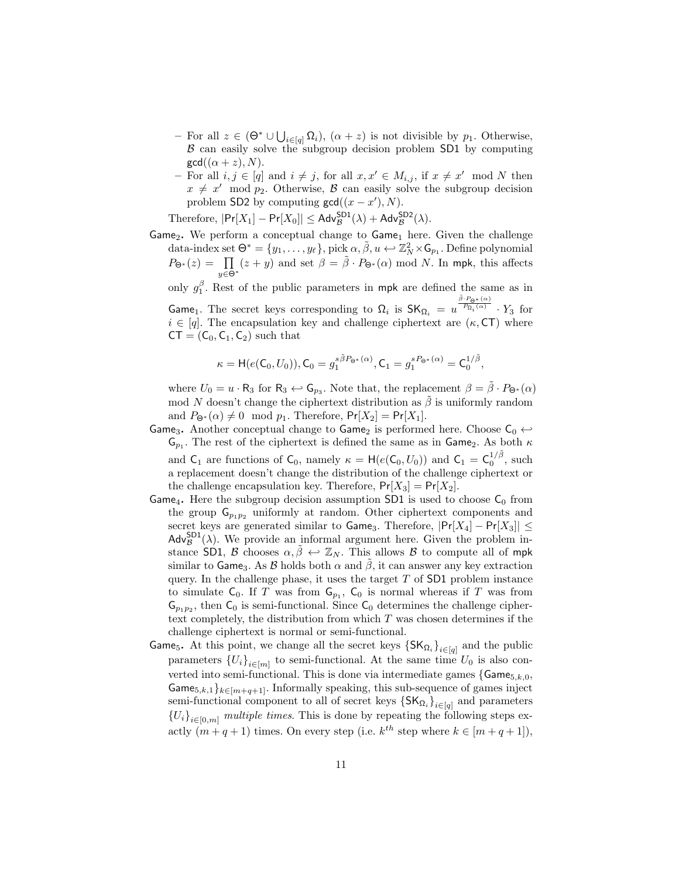- $-$  For all  $z \in (\Theta^* \cup \bigcup_{i \in [q]} \Omega_i)$ ,  $(α + z)$  is not divisible by  $p_1$ . Otherwise, B can easily solve the subgroup decision problem SD1 by computing  $gcd((\alpha + z), N)$ .
- − For all  $i, j \in [q]$  and  $i \neq j$ , for all  $x, x' \in M_{i,j}$ , if  $x \neq x' \mod N$  then  $x \neq x' \mod p_2$ . Otherwise, B can easily solve the subgroup decision problem SD2 by computing  $gcd((x - x'), N)$ .

Therefore,  $|\Pr[X_1] - \Pr[X_0]| \leq \mathsf{Adv}_{\mathcal{B}}^{\mathsf{SD1}}(\lambda) + \mathsf{Adv}_{\mathcal{B}}^{\mathsf{SD2}}(\lambda).$ 

 $Game<sub>2</sub>$ . We perform a conceptual change to  $Game<sub>1</sub>$  here. Given the challenge data-index set  $\Theta^* = \{y_1, \ldots, y_\ell\}$ , pick  $\alpha, \tilde{\beta}, u \leftarrow \mathbb{Z}_N^2 \times \mathsf{G}_{p_1}$ . Define polynomial  $P_{\Theta^*}(z) = \prod_{y \in \Theta^*} (z + y)$  and set  $\beta = \tilde{\beta} \cdot P_{\Theta^*}(\alpha) \mod N$ . In mpk, this affects

only  $g_1^{\beta}$ . Rest of the public parameters in mpk are defined the same as in Game<sub>1</sub>. The secret keys corresponding to  $\Omega_i$  is  $SK_{\Omega_i} = u$  $\tilde{\beta} \cdot P_{\bigTheta^*}(\alpha)$  $\frac{P_{\Omega_i}(\alpha)}{\cdot} \cdot Y_3$  for  $i \in [q]$ . The encapsulation key and challenge ciphertext are  $(\kappa, \mathsf{CT})$  where  $CT = (C_0, C_1, C_2)$  such that

$$
\kappa = \mathsf{H}(e(\mathsf{C}_0, U_0)), \mathsf{C}_0 = g_1^{s\tilde{\beta}P_{\Theta^*}(\alpha)}, \mathsf{C}_1 = g_1^{sP_{\Theta^*}(\alpha)} = \mathsf{C}_0^{1/\tilde{\beta}},
$$

where  $U_0 = u \cdot \mathsf{R}_3$  for  $\mathsf{R}_3 \leftrightarrow \mathsf{G}_{p_3}$ . Note that, the replacement  $\beta = \tilde{\beta} \cdot P_{\Theta^*}(\alpha)$ mod N doesn't change the ciphertext distribution as  $\hat{\beta}$  is uniformly random and  $P_{\Theta^*}(\alpha) \neq 0 \mod p_1$ . Therefore,  $Pr[X_2] = Pr[X_1]$ .

Game<sub>3</sub>. Another conceptual change to Game<sub>2</sub> is performed here. Choose  $C_0 \leftrightarrow C_1$  $\mathsf{G}_{p_1}$ . The rest of the ciphertext is defined the same as in Game<sub>2</sub>. As both  $\kappa$ and  $C_1$  are functions of  $C_0$ , namely  $\kappa = H(e(C_0, U_0))$  and  $C_1 = C_0^{1/\tilde{\beta}}$ , such a replacement doesn't change the distribution of the challenge ciphertext or the challenge encapsulation key. Therefore,  $Pr[X_3] = Pr[X_2]$ .

- Game<sub>4</sub>. Here the subgroup decision assumption SD1 is used to choose  $C_0$  from the group  $\mathsf{G}_{p_1p_2}$  uniformly at random. Other ciphertext components and secret keys are generated similar to Game<sub>3</sub>. Therefore,  $|\Pr[X_4] - \Pr[X_3]| \le$  $\mathsf{Adv}_{\mathcal{B}}^{\mathsf{SD1}}(\lambda)$ . We provide an informal argument here. Given the problem instance SD1, B chooses  $\alpha, \tilde{\beta} \leftrightarrow \mathbb{Z}_N$ . This allows B to compute all of mpk similar to Game<sub>3</sub>. As  $\beta$  holds both  $\alpha$  and  $\beta$ , it can answer any key extraction query. In the challenge phase, it uses the target  $T$  of  $SD1$  problem instance to simulate  $C_0$ . If T was from  $G_{p_1}$ ,  $C_0$  is normal whereas if T was from  $\mathsf{G}_{p_1p_2}$ , then  $\mathsf{C}_0$  is semi-functional. Since  $\mathsf{C}_0$  determines the challenge ciphertext completely, the distribution from which  $T$  was chosen determines if the challenge ciphertext is normal or semi-functional.
- Game<sub>5</sub>. At this point, we change all the secret keys  $\{SK_{\Omega_i}\}_{i \in [q]}$  and the public parameters  ${U_i}_{i \in [m]}$  to semi-functional. At the same time  $U_0$  is also converted into semi-functional. This is done via intermediate games  $\{Game_{5,k,0},$ Game<sub>5,k,1</sub>}<sub>k∈[m+q+1]</sub>. Informally speaking, this sub-sequence of games inject semi-functional component to all of secret keys  $\{SK_{\Omega_i}\}_{i \in [q]}$  and parameters  ${U_i}_{i \in [0,m]}$  multiple times. This is done by repeating the following steps exactly  $(m+q+1)$  times. On every step (i.e.  $k^{th}$  step where  $k \in [m+q+1]$ ),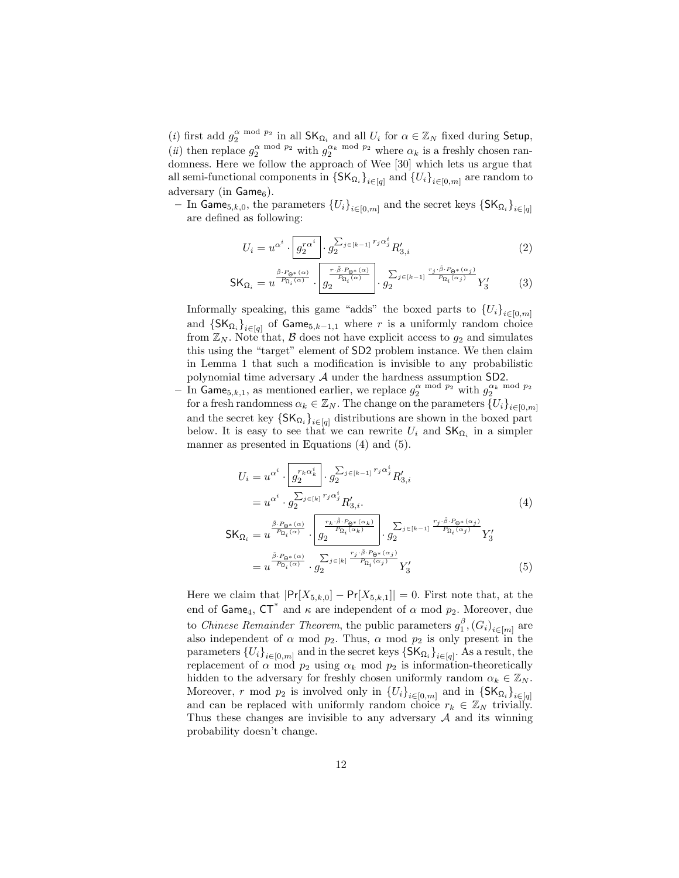(*i*) first add  $g_2^{\alpha \mod p_2}$  in all  $\mathsf{SK}_{\Omega_i}$  and all  $U_i$  for  $\alpha \in \mathbb{Z}_N$  fixed during Setup, (*ii*) then replace  $g_2^{\alpha \mod p_2}$  with  $g_2^{\alpha_k \mod p_2}$  where  $\alpha_k$  is a freshly chosen randomness. Here we follow the approach of Wee [30] which lets us argue that all semi-functional components in  $\{SK_{\Omega_i}\}_{i \in [q]}$  and  $\{U_i\}_{i \in [0,m]}$  are random to adversary (in  $Game<sub>6</sub>$ ).

 $−\,$  In Game<sub>5,*k*,0</sub>, the parameters  ${U_i}_{i ∈ [0,m]}$  and the secret keys  ${SK_{Ω_i}}_{i ∈ [q]}$ are defined as following:

$$
U_i = u^{\alpha^i} \cdot \boxed{g_2^{r\alpha^i}} \cdot g_2^{\sum_{j \in [k-1]} r_j \alpha_j^i} R'_{3,i}
$$
 (2)

$$
\mathsf{SK}_{\Omega_i} = u^{\frac{\tilde{\beta} \cdot P_{\mathsf{Q}^*}(\alpha)}{P_{\Omega_i}(\alpha)}} \cdot \boxed{\frac{r \cdot \tilde{\beta} \cdot P_{\mathsf{Q}^*}(\alpha)}{P_{\Omega_i}(\alpha)}} \cdot g_2^{\sum_{j \in [k-1]} \frac{r_j \cdot \tilde{\beta} \cdot P_{\mathsf{Q}^*}(\alpha_j)}{P_{\Omega_i}(\alpha_j)}} Y_3' \tag{3}
$$

Informally speaking, this game "adds" the boxed parts to  ${U_i}_{i \in [0,m]}$ and  $\{SK_{\Omega_i}\}_{i \in [q]}$  of Game<sub>5,k-1,1</sub> where r is a uniformly random choice from  $\mathbb{Z}_N$ . Note that,  $\beta$  does not have explicit access to  $g_2$  and simulates this using the "target" element of SD2 problem instance. We then claim in Lemma 1 that such a modification is invisible to any probabilistic polynomial time adversary A under the hardness assumption SD2.

- In Game<sub>5,k,1</sub>, as mentioned earlier, we replace  $g_2^{\alpha \mod p_2}$  with  $g_2^{\alpha_k \mod p_2}$ for a fresh randomness  $\alpha_k \in \mathbb{Z}_N$ . The change on the parameters  $\{U_i\}_{i\in[0,m]}$ and the secret key  $\{SK_{\Omega_i}\}_{i \in [q]}$  distributions are shown in the boxed part below. It is easy to see that we can rewrite  $U_i$  and  $\mathsf{SK}_{\Omega_i}$  in a simpler manner as presented in Equations (4) and (5).

$$
U_{i} = u^{\alpha^{i}} \cdot \left[ g_{2}^{r_{k}\alpha_{k}^{i}} \right] \cdot g_{2}^{\sum_{j \in [k-1]} r_{j}\alpha_{j}^{i}} R'_{3,i}
$$
  
=  $u^{\alpha^{i}} \cdot g_{2}^{\sum_{j \in [k]} r_{j}\alpha_{j}^{i}} R'_{3,i}.$  (4)

$$
\begin{split} \mathsf{SK}_{\Omega_{i}} &= u^{\frac{\tilde{\beta} \cdot P_{\Theta^{*}}(\alpha)}{P_{\Omega_{i}}(\alpha)}} \cdot \frac{\left[\frac{r_{k} \cdot \tilde{\beta} \cdot P_{\Theta^{*}}(\alpha_{k})}{P_{\Omega_{i}}(\alpha_{k})}\right]}{g_{2}} \cdot \frac{\sum_{j \in [k-1]} \frac{r_{j} \cdot \tilde{\beta} \cdot P_{\Theta^{*}}(\alpha_{j})}{P_{\Omega_{i}}(\alpha_{j})}}{Y'_{3}} Y'_{3} \\ &= u^{\frac{\tilde{\beta} \cdot P_{\Theta^{*}}(\alpha)}{P_{\Omega_{i}}(\alpha)}} \cdot g_{2}^{\sum_{j \in [k]} \frac{r_{j} \cdot \tilde{\beta} \cdot P_{\Theta^{*}}(\alpha_{j})}{P_{\Omega_{i}}(\alpha_{j})}} Y'_{3} \end{split} \tag{5}
$$

Here we claim that  $|\Pr[X_{5,k,0}] - \Pr[X_{5,k,1}]| = 0$ . First note that, at the end of Game<sub>4</sub>,  $CT^*$  and  $\kappa$  are independent of  $\alpha$  mod  $p_2$ . Moreover, due to Chinese Remainder Theorem, the public parameters  $g_1^{\beta}$ ,  $(G_i)_{i \in [m]}$  are also independent of  $\alpha$  mod  $p_2$ . Thus,  $\alpha$  mod  $p_2$  is only present in the parameters  ${U_i}_{i \in [0,m]}$  and in the secret keys  ${S}K_{\Omega_i}$ ,  ${I_i}_{i \in [q]}$ . As a result, the replacement of  $\alpha$  mod  $p_2$  using  $\alpha_k$  mod  $p_2$  is information-theoretically hidden to the adversary for freshly chosen uniformly random  $\alpha_k \in \mathbb{Z}_N$ . Moreover, r mod  $p_2$  is involved only in  $\{U_i\}_{i\in[0,m]}$  and in  $\{\mathsf{SK}_{\Omega_i}\}_{i\in[q]}$ and can be replaced with uniformly random choice  $r_k \in \mathbb{Z}_N$  trivially. Thus these changes are invisible to any adversary  $A$  and its winning probability doesn't change.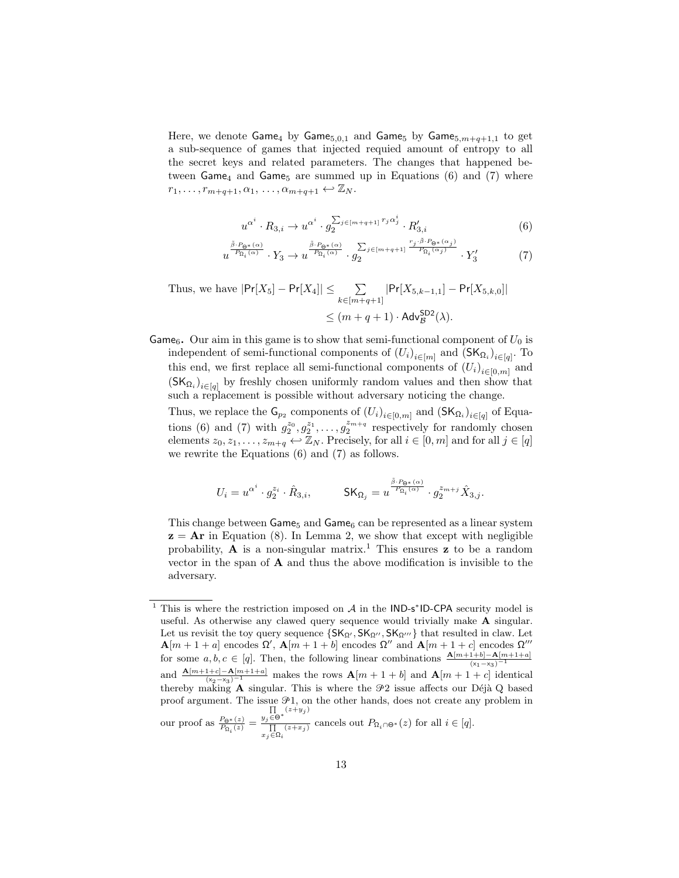Here, we denote  $\mathsf{Game}_4$  by  $\mathsf{Game}_{5,0,1}$  and  $\mathsf{Game}_5$  by  $\mathsf{Game}_{5,m+q+1,1}$  to get a sub-sequence of games that injected requied amount of entropy to all the secret keys and related parameters. The changes that happened between  $Game_4$  and  $Game_5$  are summed up in Equations (6) and (7) where  $r_1, \ldots, r_{m+q+1}, \alpha_1, \ldots, \alpha_{m+q+1} \leftrightarrow \mathbb{Z}_N$ .

$$
u^{\alpha^i} \cdot R_{3,i} \to u^{\alpha^i} \cdot g_2^{\sum_{j \in [m+q+1]} r_j \alpha_j^i} \cdot R'_{3,i}
$$
 (6)

$$
u^{\frac{\tilde{\beta}\cdot P_{\Theta^*}(\alpha)}{P_{\Omega_i}(\alpha)}}\cdot Y_3\rightarrow u^{\frac{\tilde{\beta}\cdot P_{\Theta^*}(\alpha)}{P_{\Omega_i}(\alpha)}}\cdot g_2^{\sum_{j\in [m+q+1]}\frac{r_j\cdot \tilde{\beta}\cdot P_{\Theta^*}(\alpha_j)}{P_{\Omega_i}(\alpha_j)}}\cdot Y_3' \qquad (7)
$$

Thus, we have 
$$
|\Pr[X_5] - \Pr[X_4]| \le \sum_{k \in [m+q+1]} |\Pr[X_{5,k-1,1}] - \Pr[X_{5,k,0}]|
$$
  
 $\le (m+q+1) \cdot \text{Adv}_{\mathcal{B}}^{\text{SD2}}(\lambda).$ 

**Game<sub>6</sub>.** Our aim in this game is to show that semi-functional component of  $U_0$  is independent of semi-functional components of  $(U_i)_{i \in [m]}$  and  $(\mathsf{SK}_{\Omega_i})_{i \in [q]}$ . To this end, we first replace all semi-functional components of  $(U_i)_{i \in [0,m]}$  and  $(SK_{\Omega_i})_{i \in [q]}$  by freshly chosen uniformly random values and then show that such a replacement is possible without adversary noticing the change.

Thus, we replace the  $\mathsf{G}_{p_2}$  components of  $(U_i)_{i \in [0,m]}$  and  $(\mathsf{SK}_{\Omega_i})_{i \in [q]}$  of Equations (6) and (7) with  $g_2^{z_0}, g_2^{z_1}, \ldots, g_2^{z_{m+q}}$  respectively for randomly chosen elements  $z_0, z_1, \ldots, z_{m+a} \leftarrow \mathbb{Z}_N$ . Precisely, for all  $i \in [0, m]$  and for all  $j \in [q]$ we rewrite the Equations (6) and (7) as follows.

$$
U_i = u^{\alpha^i} \cdot g_2^{z_i} \cdot \hat{R}_{3,i}, \hspace{1cm} \text{SK}_{\Omega_j} = u^{\frac{\tilde{\beta} \cdot P_{\Theta^*}(\alpha)}{P_{\Omega_i}(\alpha)}} \cdot g_2^{z_{m+j}} \hat{X}_{3,j}.
$$

This change between  $Game_5$  and  $Game_6$  can be represented as a linear system  $z = Ar$  in Equation (8). In Lemma 2, we show that except with negligible probability, **A** is a non-singular matrix.<sup>1</sup> This ensures **z** to be a random vector in the span of  $A$  and thus the above modification is invisible to the adversary.

<sup>&</sup>lt;sup>1</sup> This is where the restriction imposed on  $A$  in the IND-s\*ID-CPA security model is useful. As otherwise any clawed query sequence would trivially make A singular. Let us revisit the toy query sequence  $\{SK_{\Omega'}, SK_{\Omega''}, SK_{\Omega'''}\}$  that resulted in claw. Let  $\mathbf{A}[m+1+a]$  encodes  $\Omega'$ ,  $\mathbf{A}[m+1+b]$  encodes  $\Omega''$  and  $\mathbf{A}[m+1+c]$  encodes  $\Omega'''$ for some  $a, b, c \in [q]$ . Then, the following linear combinations  $\frac{\mathbf{A}[m+1+b]-\mathbf{A}[m+1+a]}{(x_1-x_3)^{-1}}$ and  $\frac{\mathbf{A}[m+1+c]-\mathbf{A}[m+1+a]}{(x_2-x_3)^{-1}}$  makes the rows  $\mathbf{A}[m+1+b]$  and  $\mathbf{A}[m+1+c]$  identical thereby making  $A$  singular. This is where the  $\mathcal{P}2$  issue affects our Déjà Q based proof argument. The issue  $\mathcal{P}1$ , on the other hands, does not create any problem in  $\prod_{y_j\in\Theta^*} (z+y_j)$ 

our proof as  $\frac{P_{\Theta^*}(z)}{P_{\Omega_i}(z)}$  =  $\prod_{\substack{\Pi\\x_j\in\Omega_i}}^{y_j\subset\infty}$  cancels out  $P_{\Omega_i\cap\Theta^*}(z)$  for all  $i\in[q]$ .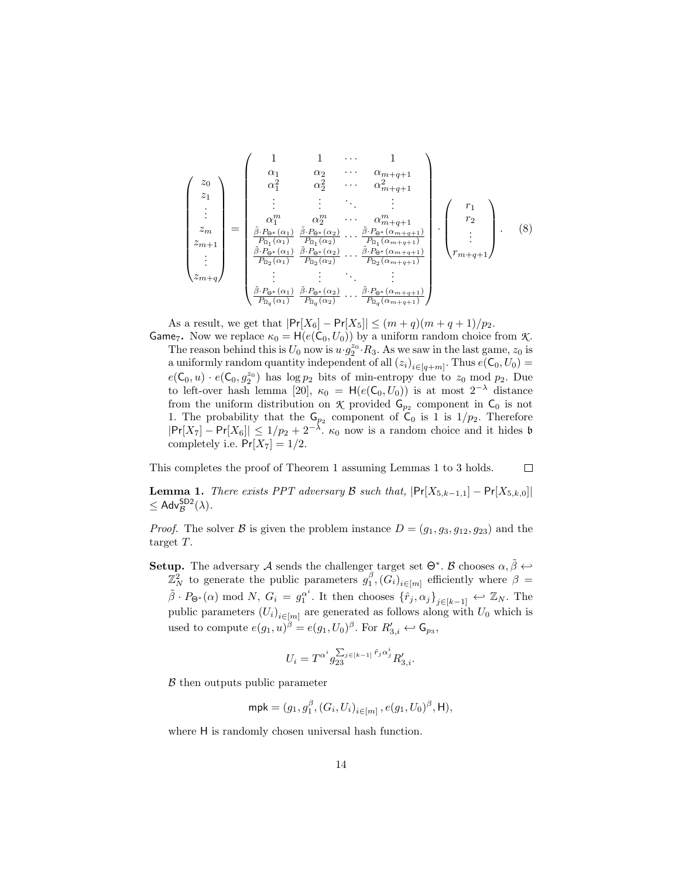$$
\begin{pmatrix}\nz_0 \\
z_1 \\
z_1 \\
z_m \\
z_{m+1} \\
\vdots \\
z_{m+q}\n\end{pmatrix} = \begin{pmatrix}\n1 & 1 & \cdots & 1 \\
\alpha_1 & \alpha_2 & \cdots & \alpha_{m+q+1} \\
\alpha_1^2 & \alpha_2^2 & \cdots & \alpha_{m+q+1}^2 \\
\vdots & \vdots & \ddots & \vdots \\
\alpha_1^m & \alpha_2^m & \cdots & \alpha_{m+q+1}^m \\
\frac{\beta \cdot P_{\Theta^*}(\alpha_1)}{P_{\Omega_1}(\alpha_1)} & \frac{\beta \cdot P_{\Theta^*}(\alpha_2)}{P_{\Omega_1}(\alpha_2)} & \cdots & \frac{\beta \cdot P_{\Theta^*}(\alpha_{m+q+1})}{P_{\Omega_1}(\alpha_{m+q+1})} \\
\vdots & \vdots & \ddots & \vdots \\
\frac{\beta \cdot P_{\Theta^*}(\alpha_1)}{P_{\Omega_2}(\alpha_1)} & \frac{\beta \cdot P_{\Theta^*}(\alpha_2)}{P_{\Omega_2}(\alpha_2)} & \cdots & \frac{\beta \cdot P_{\Theta^*}(\alpha_{m+q+1})}{P_{\Omega_2}(\alpha_{m+q+1})}\n\end{pmatrix} \begin{pmatrix}\nr_1 \\
r_2 \\
\vdots \\
r_{m+q+1}\n\end{pmatrix}.
$$
\n(8)

As a result, we get that  $|\Pr[X_6] - \Pr[X_5]| \le (m+q)(m+q+1)/p_2$ . **Game**<sub>7</sub>. Now we replace  $\kappa_0 = H(e(C_0, U_0))$  by a uniform random choice from *K*. The reason behind this is  $U_0$  now is  $u \cdot g_2^{z_0} \cdot R_3$ . As we saw in the last game,  $z_0$  is a uniformly random quantity independent of all  $(z_i)_{i \in [q+m]}$ . Thus  $e(C_0, U_0)$  =  $e(\mathsf{C}_0, u) \cdot e(\mathsf{C}_0, g_2^{z_0})$  has  $\log p_2$  bits of min-entropy due to  $z_0 \mod p_2$ . Due to left-over hash lemma [20],  $\kappa_0 = H(e(\mathsf{C}_0, U_0))$  is at most  $2^{-\lambda}$  distance from the uniform distribution on  $\mathcal K$  provided  $\mathsf G_{p_2}$  component in  $\mathsf C_0$  is not 1. The probability that the  $\mathsf{G}_{p_2}$  component of  $\mathsf{C}_0$  is 1 is  $1/p_2$ . Therefore  $|\Pr[X_7] - \Pr[X_6]| \leq 1/p_2 + 2^{-\lambda}$ .  $\kappa_0$  now is a random choice and it hides b completely i.e.  $Pr[X_7] = 1/2$ .

This completes the proof of Theorem 1 assuming Lemmas 1 to 3 holds.  $\Box$ 

**Lemma 1.** There exists PPT adversary B such that,  $|\Pr[X_{5,k-1,1}] - \Pr[X_{5,k,0}]|$  $\leq$  Adv $_{\mathcal{B}}^{\mathsf{SD2}}(\lambda)$ .

*Proof.* The solver B is given the problem instance  $D = (g_1, g_3, g_{12}, g_{23})$  and the target T.

**Setup.** The adversary A sends the challenger target set  $\Theta^*$ . B chooses  $\alpha, \tilde{\beta} \leftrightarrow \tilde{\beta}$  $\mathbb{Z}_N^2$  to generate the public parameters  $g_1^{\beta}$ ,  $(G_i)_{i \in [m]}$  efficiently where  $\beta =$  $\tilde{\beta} \cdot P_{\Theta^*}(\alpha) \mod N$ ,  $G_i = g_1^{\alpha^i}$ . It then chooses  $\{\hat{r}_j, \alpha_j\}_{j \in [k-1]} \leftrightarrow \mathbb{Z}_N$ . The public parameters  $(U_i)_{i \in [m]}$  are generated as follows along with  $U_0$  which is used to compute  $e(g_1, u)^\beta = e(g_1, U_0)^\beta$ . For  $R'_{3,i} \leftrightarrow \mathsf{G}_{p_3}$ ,

$$
U_i = T^{\alpha^i} g_{23}^{\sum_{j \in [k-1]} \hat{r}_j \alpha_j^i} R'_{3,i}.
$$

B then outputs public parameter

$$
\mathsf{mpk} = (g_1, g_1^{\beta}, (G_i, U_i)_{i \in [m]}, e(g_1, U_0)^{\beta}, \mathsf{H}),
$$

where  $H$  is randomly chosen universal hash function.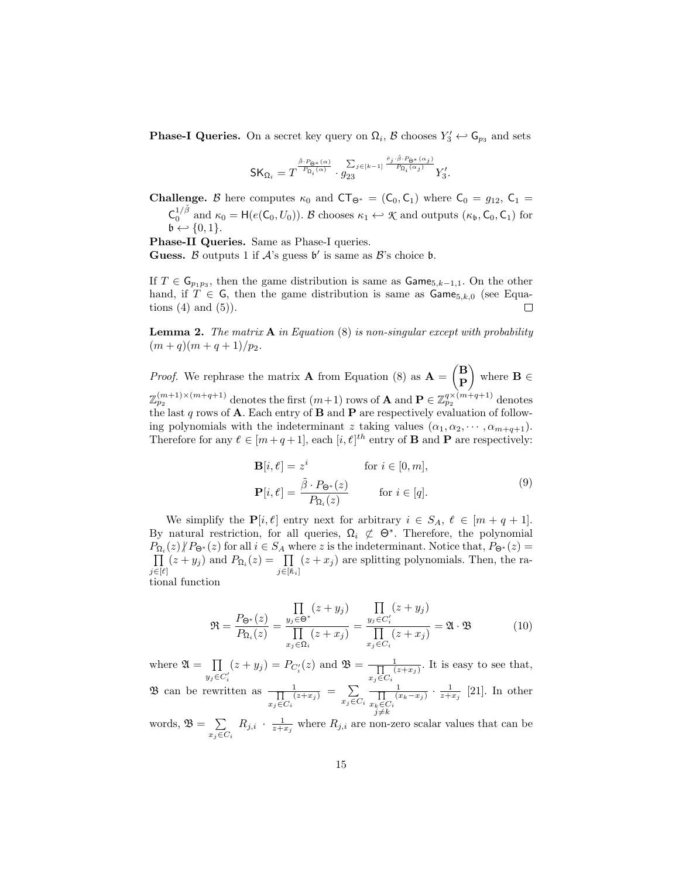**Phase-I Queries.** On a secret key query on  $\Omega_i$ ,  $\mathcal{B}$  chooses  $Y'_3 \leftrightarrow \mathsf{G}_{p_3}$  and sets

$$
\textsf{SK}_{\Omega_i}=T^{\frac{\tilde{\beta}\cdot P_{\Theta^*}(\alpha)}{P_{\Omega_i}(\alpha)}}\cdot g_{23}^{\sum_{j\in [k-1]}\frac{\hat{r}_j\cdot \tilde{\beta}\cdot P_{\Theta^*}(\alpha_j)}{P_{\Omega_i}(\alpha_j)}}Y_3'.
$$

**Challenge.** B here computes  $\kappa_0$  and  $CT_{\Theta^*} = (C_0, C_1)$  where  $C_0 = g_{12}, C_1 =$ 

 $C_0^{1/\tilde{\beta}}$  and  $\kappa_0 = H(e(C_0, U_0))$ . *B* chooses  $\kappa_1 \leftrightarrow \mathcal{K}$  and outputs  $(\kappa_0, C_0, C_1)$  for  $\mathfrak{b} \leftarrow \{0,1\}.$ 

Phase-II Queries. Same as Phase-I queries.

Guess. B outputs 1 if  $A$ 's guess  $\mathfrak{b}'$  is same as  $\mathcal{B}'$ 's choice  $\mathfrak{b}$ .

If  $T \in \mathsf{G}_{p_1p_3}$ , then the game distribution is same as  $\mathsf{Game}_{5,k-1,1}$ . On the other hand, if  $T \in G$ , then the game distribution is same as  $\mathsf{Game}_{5,k,0}$  (see Equations  $(4)$  and  $(5)$ ).  $\Box$ 

**Lemma 2.** The matrix  $\bf{A}$  in Equation (8) is non-singular except with probability  $(m+q)(m+q+1)/p_2.$ 

*Proof.* We rephrase the matrix **A** from Equation (8) as  $\mathbf{A} = \begin{pmatrix} \mathbf{B} \\ \mathbf{D} \end{pmatrix}$ P where  $\mathbf{B} \in$  $\mathbb{Z}_{p_2}^{(m+1)\times(m+q+1)}$  denotes the first  $(m+1)$  rows of **A** and  $\mathbf{P}\in \mathbb{Z}_{p_2}^{q\times (m+q+1)}$  denotes the last q rows of **A**. Each entry of **B** and **P** are respectively evaluation of following polynomials with the indeterminant z taking values  $(\alpha_1, \alpha_2, \dots, \alpha_{m+q+1})$ . Therefore for any  $\ell \in [m+q+1]$ , each  $[i, \ell]^{th}$  entry of **B** and **P** are respectively:

$$
\mathbf{B}[i, \ell] = z^i \quad \text{for } i \in [0, m],
$$
  

$$
\mathbf{P}[i, \ell] = \frac{\tilde{\beta} \cdot P_{\Theta^*}(z)}{P_{\Omega_i}(z)} \quad \text{for } i \in [q].
$$
 (9)

We simplify the  $P[i, \ell]$  entry next for arbitrary  $i \in S_A$ ,  $\ell \in [m + q + 1]$ . By natural restriction, for all queries,  $\Omega_i \not\subset \Theta^*$ . Therefore, the polynomial  $P_{\Omega_i}(z)/P_{\Theta^*}(z)$  for all  $i \in S_A$  where z is the indeterminant. Notice that,  $P_{\Theta^*}(z)$  =  $\Pi$  $\prod_{j\in[\ell]}(z+y_j)$  and  $P_{\Omega_i}(z)=\prod_{j\in[\hat{k}]}$  $j\in[\kappa_i]$  $(z + x_j)$  are splitting polynomials. Then, the rational function

$$
\mathfrak{R} = \frac{P_{\Theta^*}(z)}{P_{\Omega_i}(z)} = \frac{\prod\limits_{y_j \in \Theta^*} (z + y_j)}{\prod\limits_{x_j \in \Omega_i} (z + x_j)} = \frac{\prod\limits_{y_j \in C'_i} (z + y_j)}{\prod\limits_{x_j \in C_i} (z + x_j)} = \mathfrak{A} \cdot \mathfrak{B}
$$
(10)

where  $\mathfrak{A} = \prod$  $y_j \in C'_i$  $(z + y_j) = P_{C_i'}(z)$  and  $\mathfrak{B} = \frac{1}{\prod_{i=1}^{n} (z_i - z_j)}$  $\frac{1}{\prod_{x_j \in C_i} (z+x_j)}$ . It is easy to see that, **3** can be rewritten as  $\frac{1}{\prod_{i=1}^{n}$  $\frac{1}{\prod\limits_{x_j \in C_i} (z+x_j)} = \sum\limits_{x_j \in C_i}$  $\sum_{x_j \in C_i} \frac{1}{\prod_{x_k \in C_i} (x_i)}$  $\frac{1}{\prod\limits_{x_k \in C_i} (x_k - x_j)} \cdot \frac{1}{z + x_j}$  [21]. In other  $j{\neq}k$ 

words,  $\mathfrak{B} = \sum$  $\sum_{x_j \in C_i} R_{j,i} \cdot \frac{1}{z+x_j}$  where  $R_{j,i}$  are non-zero scalar values that can be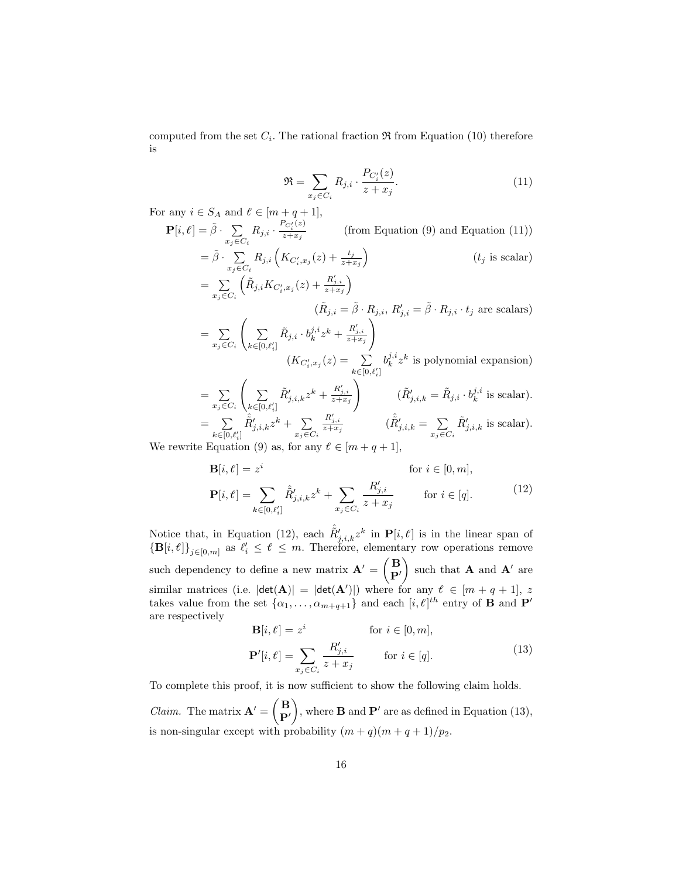computed from the set  $C_i$ . The rational fraction  $\Re$  from Equation (10) therefore is

$$
\mathfrak{R} = \sum_{x_j \in C_i} R_{j,i} \cdot \frac{P_{C'_i}(z)}{z + x_j}.
$$
\n(11)

For any  $i \in S_A$  and  $\ell \in [m+q+1]$ ,

$$
\mathbf{P}[i,\ell] = \tilde{\beta} \cdot \sum_{x_j \in C_i} R_{j,i} \cdot \frac{P_{C_i'}(z)}{z+x_j} \qquad \text{(from Equation (9) and Equation (11))}
$$
\n
$$
= \tilde{\beta} \cdot \sum_{x_j \in C_i} R_{j,i} \left( K_{C_i',x_j}(z) + \frac{t_j}{z+x_j} \right) \qquad (t_j \text{ is scalar})
$$
\n
$$
= \sum_{x_j \in C_i} \left( \tilde{R}_{j,i} K_{C_i',x_j}(z) + \frac{R'_{j,i}}{z+x_j} \right) \qquad (t_j \text{ is scalar})
$$
\n
$$
= \sum_{x_j \in C_i} \left( \sum_{k \in [0,\ell'_i]} \tilde{R}_{j,i} \cdot b_k^{j,i} z^k + \frac{R'_{j,i}}{z+x_j} \right)
$$
\n
$$
\left( K_{C_i',x_j}(z) = \sum_{k \in [0,\ell'_i]} b_k^{j,i} z^k \text{ is polynomial expansion} \right)
$$
\n
$$
= \sum_{x_j \in C_i} \left( \sum_{k \in [0,\ell'_i]} \tilde{R}'_{j,i,k} z^k + \frac{R'_{j,i}}{z+x_j} \right) \qquad \left( \tilde{R}'_{j,i,k} = \tilde{R}_{j,i} \cdot b_k^{j,i} \text{ is scalar} \right).
$$
\n
$$
= \sum_{x \in [0,\ell'_i]} \tilde{R}'_{j,i,k} z^k + \sum_{x \in C_i} \frac{R'_{j,i}}{z+x_j} \qquad \left( \tilde{R}'_{j,i,k} = \tilde{R}_{j,i} \cdot b_k^{j,i} \text{ is scalar} \right).
$$

We rewrite Equation (9) as, for any  $\ell \in [m+q+1],$ 

$$
\mathbf{B}[i, \ell] = z^{i} \quad \text{for } i \in [0, m],
$$
  
\n
$$
\mathbf{P}[i, \ell] = \sum_{k \in [0, \ell'_{i}]} \hat{R}'_{j, i, k} z^{k} + \sum_{x_{j} \in C_{i}} \frac{R'_{j, i}}{z + x_{j}} \quad \text{for } i \in [q].
$$
\n(12)

Notice that, in Equation (12), each  $\hat{\tilde{R}}'_{j,i,k}z^k$  in  $\mathbf{P}[i,\ell]$  is in the linear span of  ${\{\mathbf B}[i, t]\}_{j \in [0,m]}$  as  $\ell_i \leq t \leq m$ . Therefore, elementary row operations remove such dependency to define a new matrix  $\mathbf{A}' = \begin{pmatrix} \mathbf{B} \\ \mathbf{D} \end{pmatrix}$  $\mathbf{P}'$ ) such that  $\bf{A}$  and  $\bf{A}'$  are similar matrices (i.e.  $|\det(A)| = |\det(A')|$ ) where for any  $\ell \in [m + q + 1], z$ takes value from the set  $\{\alpha_1, \ldots, \alpha_{m+q+1}\}\$  and each  $[i, \ell]^{th}$  entry of **B** and **P'** are respectively

$$
\mathbf{B}[i, \ell] = z^i \quad \text{for } i \in [0, m],
$$
  

$$
\mathbf{P}'[i, \ell] = \sum_{x_j \in C_i} \frac{R'_{j,i}}{z + x_j} \quad \text{for } i \in [q].
$$
 (13)

To complete this proof, it is now sufficient to show the following claim holds. *Claim.* The matrix  $\mathbf{A}' = \begin{pmatrix} \mathbf{B} \\ \mathbf{D} \end{pmatrix}$  $\mathbf{P}'$ ), where **B** and  $\mathbf{P}'$  are as defined in Equation (13), is non-singular except with probability  $(m+q)(m+q+1)/p_2$ .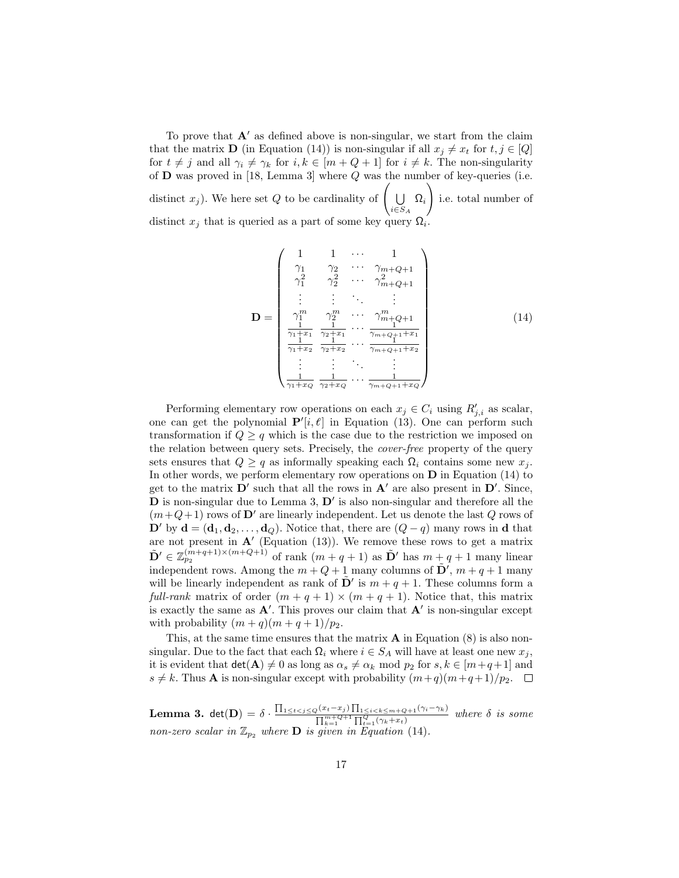To prove that  $A'$  as defined above is non-singular, we start from the claim that the matrix **D** (in Equation (14)) is non-singular if all  $x_j \neq x_t$  for  $t, j \in [Q]$ for  $t \neq j$  and all  $\gamma_i \neq \gamma_k$  for  $i, k \in [m + Q + 1]$  for  $i \neq k$ . The non-singularity of  $D$  was proved in [18, Lemma 3] where  $Q$  was the number of key-queries (i.e. distinct  $x_j$ ). We here set Q to be cardinality of  $\left(\begin{array}{c} \bigcup \end{array}\right)$  $\bigcup_{i\in S_A}\Omega_i$  $\setminus$ i.e. total number of distinct  $x_j$  that is queried as a part of some key query  $\Omega$ .

$$
\mathbf{D} = \begin{pmatrix} 1 & 1 & \cdots & 1 \\ \gamma_1 & \gamma_2 & \cdots & \gamma_{m+Q+1} \\ \gamma_1^2 & \gamma_2^2 & \cdots & \gamma_{m+Q+1}^2 \\ \vdots & \vdots & \ddots & \vdots \\ \gamma_1^m & \gamma_2^m & \cdots & \gamma_{m+Q+1}^m \\ \frac{1}{\gamma_1 + x_1} & \frac{1}{\gamma_2 + x_1} & \cdots & \frac{1}{\gamma_{m+Q+1} + x_1} \\ \vdots & \vdots & \ddots & \vdots \\ \frac{1}{\gamma_1 + x_2} & \frac{1}{\gamma_2 + x_2} & \cdots & \frac{1}{\gamma_{m+Q+1} + x_2} \end{pmatrix}
$$
(14)

Performing elementary row operations on each  $x_j \in C_i$  using  $R'_{j,i}$  as scalar, one can get the polynomial  $\mathbf{P}'[i, \ell]$  in Equation (13). One can perform such transformation if  $Q > q$  which is the case due to the restriction we imposed on the relation between query sets. Precisely, the cover-free property of the query sets ensures that  $Q \geq q$  as informally speaking each  $\Omega_i$  contains some new  $x_j$ . In other words, we perform elementary row operations on  $D$  in Equation (14) to get to the matrix  $\mathbf{D}'$  such that all the rows in  $\mathbf{A}'$  are also present in  $\mathbf{D}'$ . Since,  **is non-singular due to Lemma 3,**  $**D'**$  **is also non-singular and therefore all the**  $(m+Q+1)$  rows of D' are linearly independent. Let us denote the last Q rows of D' by  $\mathbf{d} = (\mathbf{d}_1, \mathbf{d}_2, \dots, \mathbf{d}_Q)$ . Notice that, there are  $(Q - q)$  many rows in d that are not present in  $\mathbf{A}'$  (Equation (13)). We remove these rows to get a matrix  $\tilde{\mathbf{D}}' \in \mathbb{Z}_{p_2}^{(m+q+1)\times(m+Q+1)}$  of rank  $(m+q+1)$  as  $\tilde{\mathbf{D}}'$  has  $m+q+1$  many linear independent rows. Among the  $m + Q + 1$  many columns of  $\tilde{\mathbf{D}}'$ ,  $m + q + 1$  many will be linearly independent as rank of  $\tilde{\mathbf{D}}'$  is  $m + q + 1$ . These columns form a full-rank matrix of order  $(m + q + 1) \times (m + q + 1)$ . Notice that, this matrix is exactly the same as  $A'$ . This proves our claim that  $A'$  is non-singular except with probability  $(m+q)(m+q+1)/p_2$ .

This, at the same time ensures that the matrix  $A$  in Equation  $(8)$  is also nonsingular. Due to the fact that each  $\Omega_i$  where  $i \in S_A$  will have at least one new  $x_j$ , it is evident that  $\det(A) \neq 0$  as long as  $\alpha_s \neq \alpha_k \mod p_2$  for  $s, k \in [m+q+1]$  and  $s \neq k$ . Thus **A** is non-singular except with probability  $(m+q)(m+q+1)/p_2$ .  $\Box$ 

**Lemma 3.** det(D) =  $\delta \cdot \frac{\prod_{1 \leq t < j \leq Q} (x_t - x_j) \prod_{1 \leq i < k \leq m+Q+1} (\gamma_i - \gamma_k)}{\prod_{m=Q+1}^{m+Q+1} \prod_{i=Q}^{Q} (x_i - x_j)}$  $\frac{\prod_{k=1}^{(kt-x_j)}\prod_{1\leq i\leq k\leq m+Q+1}(n-ik)}{\prod_{k=1}^{m+Q+1}\prod_{i=1}^{Q}(\gamma_k+x_t)}$  where  $\delta$  is some non-zero scalar in  $\mathbb{Z}_{p_2}$  where **D** is given in Equation (14).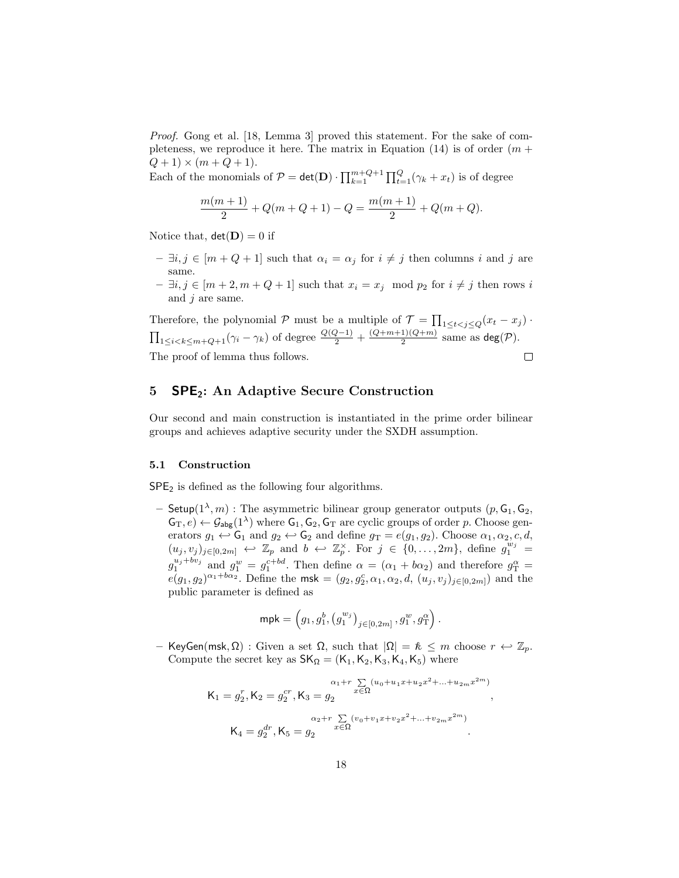Proof. Gong et al. [18, Lemma 3] proved this statement. For the sake of completeness, we reproduce it here. The matrix in Equation  $(14)$  is of order  $(m +$  $Q + 1 \times (m + Q + 1).$ 

Each of the monomials of  $P = det(D) \cdot \prod_{k=1}^{m+Q+1} \prod_{t=1}^{Q} (\gamma_k + x_t)$  is of degree

$$
\frac{m(m+1)}{2} + Q(m+Q+1) - Q = \frac{m(m+1)}{2} + Q(m+Q).
$$

Notice that,  $det(\mathbf{D}) = 0$  if

- $-$  ∃*i*, *j* ∈ [*m* + *Q* + 1] such that  $\alpha_i = \alpha_j$  for  $i \neq j$  then columns *i* and *j* are same.
- $\exists i, j \in [m+2, m+Q+1]$  such that  $x_i = x_j \mod p_2$  for  $i \neq j$  then rows i and  $j$  are same.

Therefore, the polynomial  $P$  must be a multiple of  $\mathcal{T} = \prod_{1 \leq t < j \leq Q} (x_t - x_j)$ .  $\prod_{1 \leq i < k \leq m+Q+1} (\gamma_i - \gamma_k)$  of degree  $\frac{Q(Q-1)}{2} + \frac{(Q+m+1)(Q+m)}{2}$  $\frac{1}{2}$  (*Q*+*m*) same as deg(*P*). The proof of lemma thus follows.  $\Box$ 

# 5 SPE2: An Adaptive Secure Construction

Our second and main construction is instantiated in the prime order bilinear groups and achieves adaptive security under the SXDH assumption.

#### 5.1 Construction

 $SPE<sub>2</sub>$  is defined as the following four algorithms.

- Setup $(1^{\lambda}, m)$ : The asymmetric bilinear group generator outputs  $(p, G_1, G_2,$  $\mathsf{G}_T, e) \leftarrow \mathcal{G}_{\mathsf{a}\mathsf{b}\mathsf{g}}(1^{\lambda})$  where  $\mathsf{G}_1, \mathsf{G}_2, \mathsf{G}_T$  are cyclic groups of order p. Choose generators  $g_1 \leftrightarrow G_1$  and  $g_2 \leftrightarrow G_2$  and define  $g_T = e(g_1, g_2)$ . Choose  $\alpha_1, \alpha_2, c, d$ ,  $(u_j, v_j)_{j \in [0, 2m]} \leftrightarrow \mathbb{Z}_p$  and  $b \leftrightarrow \mathbb{Z}_p^{\times}$ . For  $j \in \{0, \ldots, 2m\}$ , define  $g_1^{w_j} =$  $g_1^{u_j+bv_j}$  and  $g_1^w = g_1^{c+bd}$ . Then define  $\alpha = (\alpha_1 + b\alpha_2)$  and therefore  $g_T^{\alpha} =$  $e(g_1, g_2)^{\alpha_1 + b\alpha_2}$ . Define the msk =  $(g_2, g_2^c, \alpha_1, \alpha_2, d, (u_j, v_j)_{j \in [0, 2m]})$  and the public parameter is defined as

$$
\mathsf{mpk} = \left(g_1, g_1^b, \left(g_1^{w_j}\right)_{j \in [0, 2m]}, g_1^w, g_\mathrm{T}^\alpha\right).
$$

– KeyGen(msk, Ω) : Given a set Ω, such that  $|\Omega| = \kappa \leq m$  choose  $r \leftrightarrow \mathbb{Z}_p$ . Compute the secret key as  $SK_{\Omega} = (K_1, K_2, K_3, K_4, K_5)$  where

$$
\begin{aligned} \mathsf{K}_1 &= g_2^r, \mathsf{K}_2 = g_2^{cr}, \mathsf{K}_3 = g_2^{}\quad \xrightarrow{x \in \Omega} \quad \mathsf{K}_4 = g_2^{dr}, \mathsf{K}_5 = g_2^{}\quad \xrightarrow{x \in \Omega} \quad \mathsf{K}_5 = g_2^{(v_0 + v_1 x + v_2 x^2 + \ldots + v_{2m} x^{2m})} \end{aligned}
$$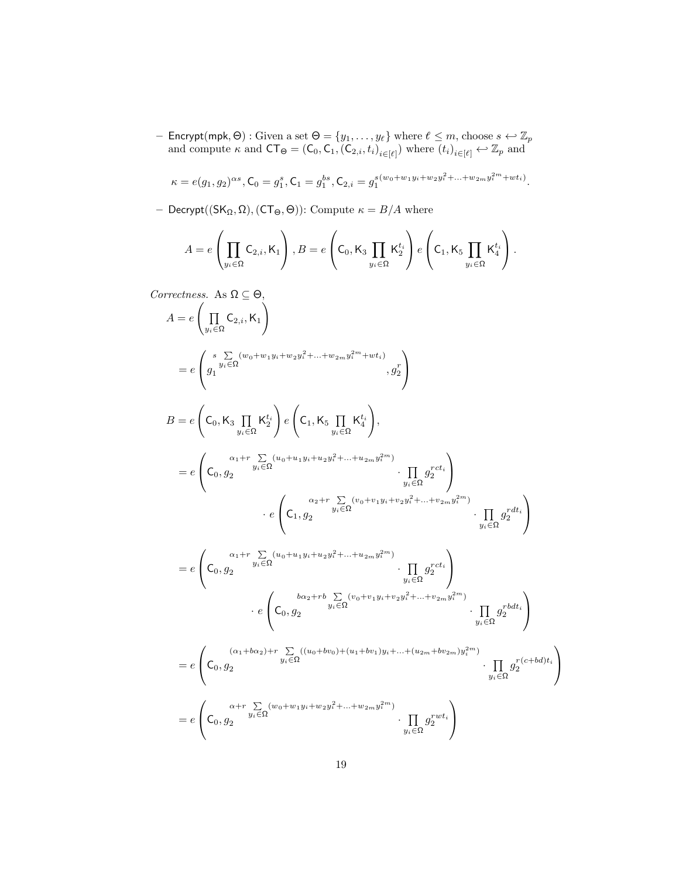- Encrypt(mpk,  $\Theta$ ) : Given a set  $\Theta = \{y_1, \ldots, y_\ell\}$  where  $\ell \leq m$ , choose  $s \leftarrow \mathbb{Z}_p$ and compute  $\kappa$  and  $CT_{\Theta} = (C_0, C_1, (C_{2,i}, t_i)_{i \in [\ell]})$  where  $(t_i)_{i \in [\ell]} \leftrightarrow \mathbb{Z}_p$  and

$$
\kappa = e(g_1, g_2)^{\alpha s}, \mathsf{C}_0 = g_1^s, \mathsf{C}_1 = g_1^{bs}, \mathsf{C}_{2,i} = g_1^{s(w_0 + w_1 y_i + w_2 y_i^2 + \ldots + w_{2m} y_i^{2m} + w t_i)}.
$$

– Decrypt( $(SK_{\Omega}, \Omega)$ ,  $(CT_{\Theta}, \Theta)$ ): Compute  $\kappa = B/A$  where

$$
A = e\left(\prod_{y_i \in \Omega} \mathsf{C}_{2,i}, \mathsf{K}_1\right), B = e\left(\mathsf{C}_0, \mathsf{K}_3 \prod_{y_i \in \Omega} \mathsf{K}_2^{t_i}\right) e\left(\mathsf{C}_1, \mathsf{K}_5 \prod_{y_i \in \Omega} \mathsf{K}_4^{t_i}\right).
$$

Correctness. As  $\Omega \subseteq \Theta$ ,

$$
A = e \left( \prod_{y_i \in \Omega} C_{2,i}, K_1 \right)
$$
  
\n
$$
= e \left( g_1^{g_1} \sum_{y_i \in \Omega} (w_0 + w_1 y_i + w_2 y_i^2 + \dots + w_{2m} y_i^{2m} + wt_i) , g_2^r \right)
$$
  
\n
$$
B = e \left( C_0, K_3 \prod_{y_i \in \Omega} K_2^{t_i} \right) e \left( C_1, K_5 \prod_{y_i \in \Omega} K_4^{t_i} \right),
$$
  
\n
$$
= e \left( C_0, g_2^{g_1} \right) e^{g_2 + \dots + g_{2m} y_i^{2m}} \cdot \prod_{y_i \in \Omega} g_2^{rct_i} \right)
$$
  
\n
$$
\cdot e \left( C_1, g_2^{g_2} \right) e^{g_3 + \dots + g_{2m} y_i^{2m}} \cdot \prod_{y_i \in \Omega} g_2^{rct_i} \right)
$$
  
\n
$$
= e \left( C_0, g_2^{g_1} \right)
$$
  
\n
$$
= e \left( C_0, g_2^{g_2} \right)
$$
  
\n
$$
\cdot e \left( C_0, g_2^{g_3} \right)
$$
  
\n
$$
\cdot e \left( C_0, g_2^{g_3} \right)
$$
  
\n
$$
\cdot e \left( C_0, g_2^{g_3} \right)
$$
  
\n
$$
\cdot e \left( C_0, g_2^{g_3} \right)
$$
  
\n
$$
\cdot e \left( C_0, g_2^{g_3} \right)
$$
  
\n
$$
\cdot e \left( C_0, g_2^{g_3} \right)
$$
  
\n
$$
= e \left( C_0, g_2^{g_3} \right)
$$
  
\n
$$
= e \left( C_0, g_2^{g_3} \right)
$$
  
\n
$$
= e \left( C_0, g_2^{g_3} \right)
$$
  
\n
$$
= e \left( C_0, g_2^{g_3} \right)
$$
  
\n
$$
= e \left( C_0, g_2^{g_3} \right)
$$
  
\n
$$
= e \left( C_0, g_2^{g
$$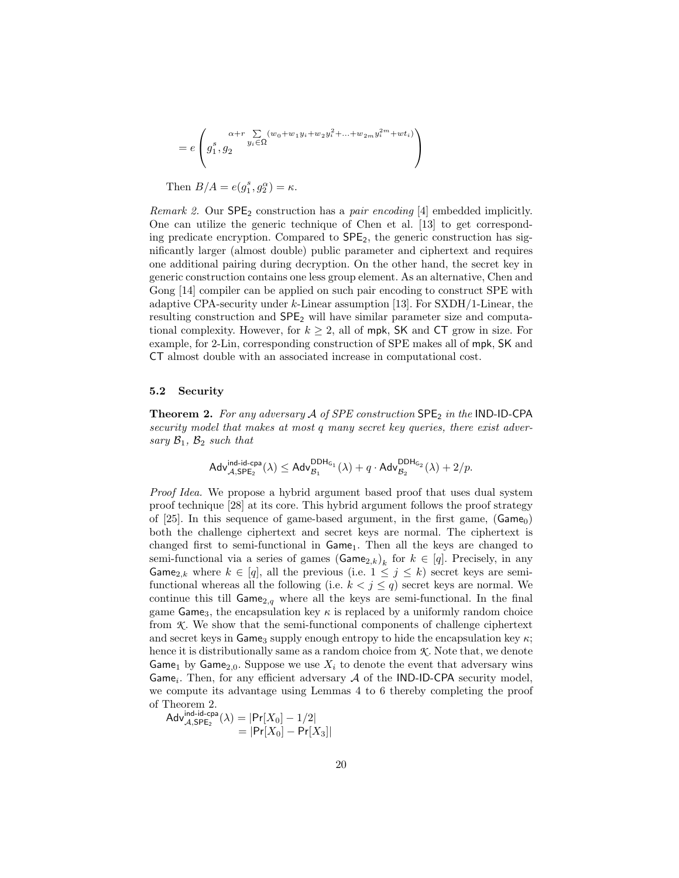$$
= e \left( g_1^s, g_2^{x+r} \sum_{y_i \in \Omega} (w_0 + w_1 y_i + w_2 y_i^2 + \dots + w_{2m} y_i^{2m} + w t_i) \right)
$$

Then  $B/A = e(g_1^s, g_2^\alpha) = \kappa$ .

Remark 2. Our SPE<sub>2</sub> construction has a *pair encoding* [4] embedded implicitly. One can utilize the generic technique of Chen et al. [13] to get corresponding predicate encryption. Compared to  $\mathsf{SPE}_2$ , the generic construction has significantly larger (almost double) public parameter and ciphertext and requires one additional pairing during decryption. On the other hand, the secret key in generic construction contains one less group element. As an alternative, Chen and Gong [14] compiler can be applied on such pair encoding to construct SPE with adaptive CPA-security under k-Linear assumption [13]. For SXDH/1-Linear, the resulting construction and  $SPE<sub>2</sub>$  will have similar parameter size and computational complexity. However, for  $k \geq 2$ , all of mpk, SK and CT grow in size. For example, for 2-Lin, corresponding construction of SPE makes all of mpk, SK and CT almost double with an associated increase in computational cost.

## 5.2 Security

**Theorem 2.** For any adversary  $A$  of SPE construction  $SPE_2$  in the IND-ID-CPA security model that makes at most q many secret key queries, there exist adversary  $\mathcal{B}_1$ ,  $\mathcal{B}_2$  such that

$$
\mathsf{Adv}_{\mathcal{A},\mathsf{SPE}_2}^{\mathsf{ind-id-cpa}}(\lambda) \leq \mathsf{Adv}_{\mathcal{B}_1}^{\mathsf{DDH}_{\mathsf{G}_1}}(\lambda) + q \cdot \mathsf{Adv}_{\mathcal{B}_2}^{\mathsf{DDH}_{\mathsf{G}_2}}(\lambda) + 2/p.
$$

Proof Idea. We propose a hybrid argument based proof that uses dual system proof technique [28] at its core. This hybrid argument follows the proof strategy of [25]. In this sequence of game-based argument, in the first game,  $(Game<sub>0</sub>)$ both the challenge ciphertext and secret keys are normal. The ciphertext is changed first to semi-functional in  $Game_1$ . Then all the keys are changed to semi-functional via a series of games  $(\text{Game}_{2,k})_k$  for  $k \in [q]$ . Precisely, in any Game<sub>2,k</sub> where  $k \in [q]$ , all the previous (i.e.  $1 \leq j \leq k$ ) secret keys are semifunctional whereas all the following (i.e.  $k < j \le q$ ) secret keys are normal. We continue this till  $Game_{2,q}$  where all the keys are semi-functional. In the final game Game<sub>3</sub>, the encapsulation key  $\kappa$  is replaced by a uniformly random choice from *K* . We show that the semi-functional components of challenge ciphertext and secret keys in Game<sub>3</sub> supply enough entropy to hide the encapsulation key  $\kappa$ ; hence it is distributionally same as a random choice from  $K$ . Note that, we denote Game<sub>1</sub> by Game<sub>2,0</sub>. Suppose we use  $X_i$  to denote the event that adversary wins Game<sub>i</sub>. Then, for any efficient adversary  $A$  of the IND-ID-CPA security model, we compute its advantage using Lemmas 4 to 6 thereby completing the proof of Theorem 2.

$$
\begin{aligned} \mathsf{Adv}_{\mathcal{A}, \mathsf{SPE}_2}^{\mathsf{ind-id-cpa}}(\lambda) &= |\mathsf{Pr}[X_0] - 1/2| \\ &= |\mathsf{Pr}[X_0] - \mathsf{Pr}[X_3]| \end{aligned}
$$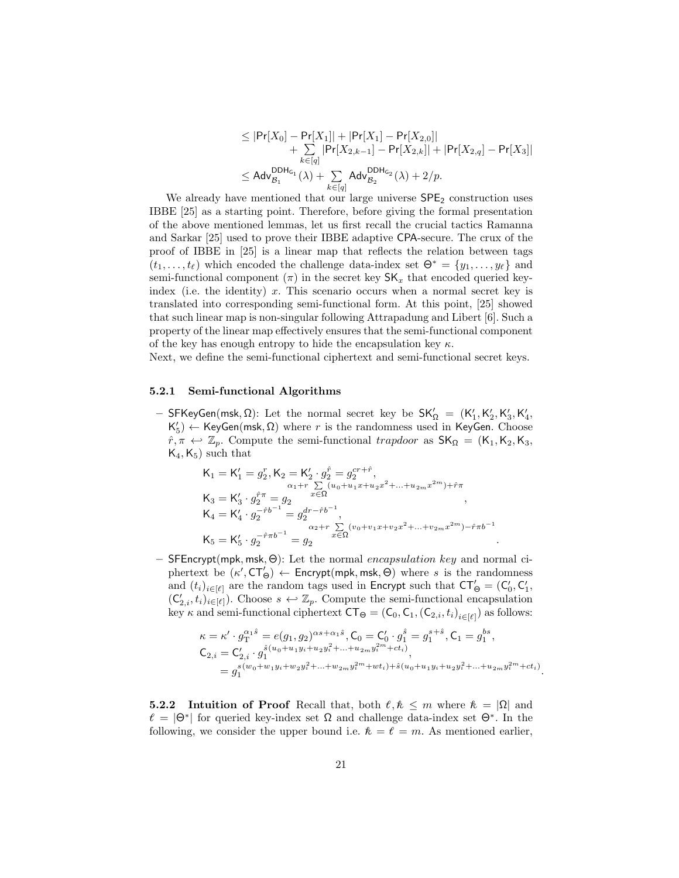$$
\leq |\mathsf{Pr}[X_0] - \mathsf{Pr}[X_1]| + |\mathsf{Pr}[X_1] - \mathsf{Pr}[X_{2,0}]| + \sum_{k \in [q]} |\mathsf{Pr}[X_{2,k-1}] - \mathsf{Pr}[X_{2,k}]| + |\mathsf{Pr}[X_{2,q}] - \mathsf{Pr}[X_3]| \leq \mathsf{Adv}_{\mathcal{B}_1}^{\mathsf{DDH}_{\mathsf{G}_1}}(\lambda) + \sum_{k \in [q]} \mathsf{Adv}_{\mathcal{B}_2}^{\mathsf{DDH}_{\mathsf{G}_2}}(\lambda) + 2/p.
$$

We already have mentioned that our large universe  $\text{SPE}_2$  construction uses IBBE [25] as a starting point. Therefore, before giving the formal presentation of the above mentioned lemmas, let us first recall the crucial tactics Ramanna and Sarkar [25] used to prove their IBBE adaptive CPA-secure. The crux of the proof of IBBE in [25] is a linear map that reflects the relation between tags  $(t_1, \ldots, t_\ell)$  which encoded the challenge data-index set  $\Theta^* = \{y_1, \ldots, y_\ell\}$  and semi-functional component  $(\pi)$  in the secret key  $\mathsf{SK}_x$  that encoded queried keyindex (i.e. the identity) x. This scenario occurs when a normal secret key is translated into corresponding semi-functional form. At this point, [25] showed that such linear map is non-singular following Attrapadung and Libert [6]. Such a property of the linear map effectively ensures that the semi-functional component of the key has enough entropy to hide the encapsulation key  $\kappa$ .

Next, we define the semi-functional ciphertext and semi-functional secret keys.

#### 5.2.1 Semi-functional Algorithms

– SFKeyGen(msk, Ω): Let the normal secret key be  $\mathsf{SK}'_{\Omega} = (\mathsf{K}'_1, \mathsf{K}'_2, \mathsf{K}'_3, \mathsf{K}'_4, \mathsf{K}'_5, \mathsf{K}'_6)$  $K'_{5}$ )  $\leftarrow$  KeyGen(msk,  $\Omega$ ) where r is the randomness used in KeyGen. Choose  $\hat{r}, \pi \leftrightarrow \mathbb{Z}_p$ . Compute the semi-functional trapdoor as  $\mathsf{SK}_{\Omega} = (\mathsf{K}_1, \mathsf{K}_2, \mathsf{K}_3, \mathsf{K}_4)$  $K_4, K_5$ ) such that

$$
\begin{aligned} \mathsf{K}_1 &= \mathsf{K}_1' = g_2^r, \mathsf{K}_2 = \mathsf{K}_2' \cdot g_2^{\hat{r}} = g_2^{cr+\hat{r}}, \\ \mathsf{K}_3 &= \mathsf{K}_3' \cdot g_2^{\hat{r}\pi} = g_2 \qquad \qquad \mathbf{x} \in \Omega \\ \mathsf{K}_4 &= \mathsf{K}_4' \cdot g_2^{-\hat{r}b^{-1}} = g_2^{dr-\hat{r}b^{-1}}, \\ \mathsf{K}_5 &= \mathsf{K}_5' \cdot g_2^{-\hat{r}\pi b^{-1}} = g_2 \qquad \qquad \mathbf{x} \in \Omega \\ \end{aligned},
$$

– SFEncrypt(mpk, msk,  $Θ$ ): Let the normal encapsulation key and normal ciphertext be  $(\kappa', C\mathsf{T}'_{\Theta}) \leftarrow$  Encrypt(mpk, msk,  $\Theta$ ) where s is the randomness and  $(t_i)_{i \in [\ell]}$  are the random tags used in Encrypt such that  $CT'_\Theta = (C'_0, C'_1, C'_1)$  $(C'_{2,i}, t_i)_{i \in [\ell]}$ . Choose  $s \leftrightarrow \mathbb{Z}_p$ . Compute the semi-functional encapsulation key  $\kappa$  and semi-functional ciphertext  $CT_{\Theta} = (C_0, C_1, (C_{2,i}, t_i)_{i \in [\ell]})$  as follows:

$$
\begin{split} \kappa &= \kappa' \cdot g_{\text{T}}^{\alpha_1 \hat{s}} = e(g_1, g_2)^{\alpha s + \alpha_1 \hat{s}}, \mathsf{C}_0 = \mathsf{C}'_0 \cdot g_1^{\hat{s}} = g_1^{s + \hat{s}}, \mathsf{C}_1 = g_1^{bs}, \\ \mathsf{C}_{2,i} &= \mathsf{C}'_{2,i} \cdot g_1^{\hat{s}(u_0 + u_1 y_i + u_2 y_i^2 + \ldots + u_{2m} y_i^{2m} + ct_i)}, \\ &= g_1^{s(w_0 + w_1 y_i + w_2 y_i^2 + \ldots + w_{2m} y_i^{2m} + wt_i) + \hat{s}(u_0 + u_1 y_i + u_2 y_i^2 + \ldots + u_{2m} y_i^{2m} + ct_i)} \end{split}
$$

.

.

**5.2.2** Intuition of Proof Recall that, both  $\ell, \ell \leq m$  where  $\ell = |\Omega|$  and  $\ell = |\Theta^*|$  for queried key-index set  $\Omega$  and challenge data-index set  $\Theta^*$ . In the following, we consider the upper bound i.e.  $\mathcal{R} = \ell = m$ . As mentioned earlier,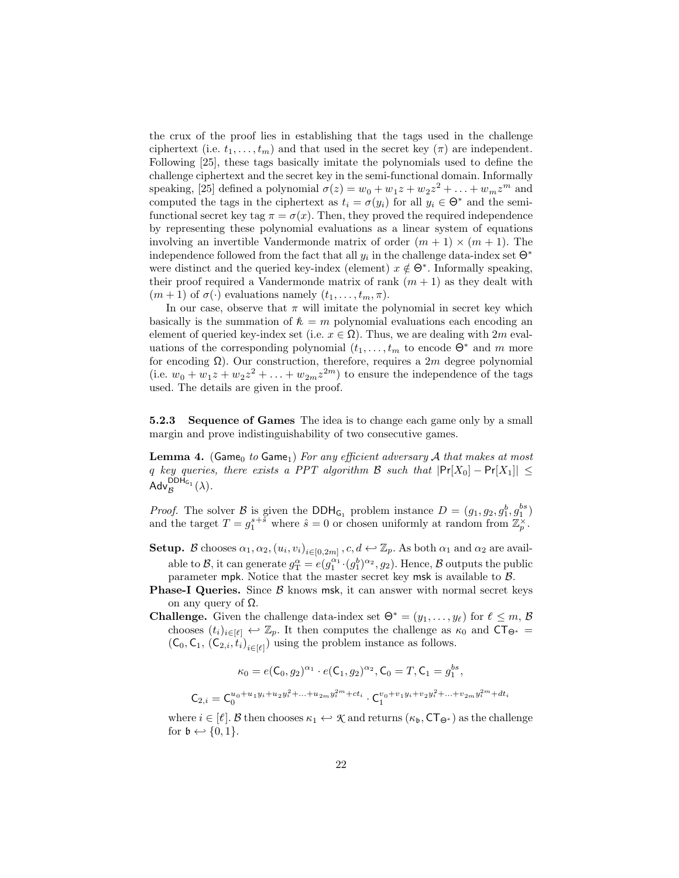the crux of the proof lies in establishing that the tags used in the challenge ciphertext (i.e.  $t_1, \ldots, t_m$ ) and that used in the secret key ( $\pi$ ) are independent. Following [25], these tags basically imitate the polynomials used to define the challenge ciphertext and the secret key in the semi-functional domain. Informally speaking, [25] defined a polynomial  $\sigma(z) = w_0 + w_1 z + w_2 z^2 + \dots + w_m z^m$  and computed the tags in the ciphertext as  $t_i = \sigma(y_i)$  for all  $y_i \in \Theta^*$  and the semifunctional secret key tag  $\pi = \sigma(x)$ . Then, they proved the required independence by representing these polynomial evaluations as a linear system of equations involving an invertible Vandermonde matrix of order  $(m + 1) \times (m + 1)$ . The independence followed from the fact that all  $y_i$  in the challenge data-index set  $\Theta^*$ were distinct and the queried key-index (element)  $x \notin \Theta^*$ . Informally speaking, their proof required a Vandermonde matrix of rank  $(m + 1)$  as they dealt with  $(m+1)$  of  $\sigma(\cdot)$  evaluations namely  $(t_1,\ldots,t_m,\pi)$ .

In our case, observe that  $\pi$  will imitate the polynomial in secret key which basically is the summation of  $\hbar = m$  polynomial evaluations each encoding an element of queried key-index set (i.e.  $x \in \Omega$ ). Thus, we are dealing with  $2m$  evaluations of the corresponding polynomial  $(t_1, \ldots, t_m$  to encode  $\Theta^*$  and m more for encoding  $\Omega$ ). Our construction, therefore, requires a 2m degree polynomial (i.e.  $w_0 + w_1 z + w_2 z^2 + \ldots + w_{2m} z^{2m}$ ) to ensure the independence of the tags used. The details are given in the proof.

5.2.3 Sequence of Games The idea is to change each game only by a small margin and prove indistinguishability of two consecutive games.

**Lemma 4.** (Game<sub>0</sub> to Game<sub>1</sub>) For any efficient adversary A that makes at most q key queries, there exists a PPT algorithm B such that  $|\Pr[X_0] - \Pr[X_1]| \leq$  $\mathsf{Adv}_{\mathcal{B}}^{\mathsf{DDH}_{\mathsf{G}_1}}(\lambda).$ 

*Proof.* The solver B is given the DDH<sub>G<sub>1</sub></sub> problem instance  $D = (g_1, g_2, g_1^b, g_1^{bs})$ and the target  $T = g_1^{s+\tilde{s}}$  where  $\hat{s} = 0$  or chosen uniformly at random from  $\mathbb{Z}_p^{\times}$ .

- Setup. B chooses  $\alpha_1, \alpha_2, (u_i, v_i)_{i \in [0, 2m]}$ ,  $c, d \leftrightarrow \mathbb{Z}_p$ . As both  $\alpha_1$  and  $\alpha_2$  are available to B, it can generate  $g_T^{\alpha} = e(g_1^{\alpha_1} \cdot (g_1^b)^{\alpha_2}, g_2)$ . Hence, B outputs the public parameter mpk. Notice that the master secret key msk is available to B.
- **Phase-I Queries.** Since  $\beta$  knows msk, it can answer with normal secret keys on any query of  $Ω$ .
- **Challenge.** Given the challenge data-index set  $\Theta^* = (y_1, \ldots, y_\ell)$  for  $\ell \leq m$ ,  $\beta$ chooses  $(t_i)_{i\in[\ell]} \leftrightarrow \mathbb{Z}_p$ . It then computes the challenge as  $\kappa_0$  and  $CT_{\Theta^*}$  $(C_0, C_1, (C_{2,i}, t_i)_{i \in [\ell]})$  using the problem instance as follows.

$$
\kappa_0 = e(C_0, g_2)^{\alpha_1} \cdot e(C_1, g_2)^{\alpha_2}, C_0 = T, C_1 = g_1^{bs},
$$
  

$$
C_{2,i} = C_0^{u_0 + u_1 y_i + u_2 y_i^2 + \dots + u_{2m} y_i^{2m} + ct_i} \cdot C_1^{v_0 + v_1 y_i + v_2 y_i^2 + \dots + v_{2m} y_i^{2m} + dt_i}
$$

where  $i \in [\ell]$ . B then chooses  $\kappa_1 \leftrightarrow \mathcal{K}$  and returns  $(\kappa_{\mathfrak{b}}, \mathsf{CT}_{\Theta^*})$  as the challenge for  $\mathfrak{b} \leftarrow \{0,1\}.$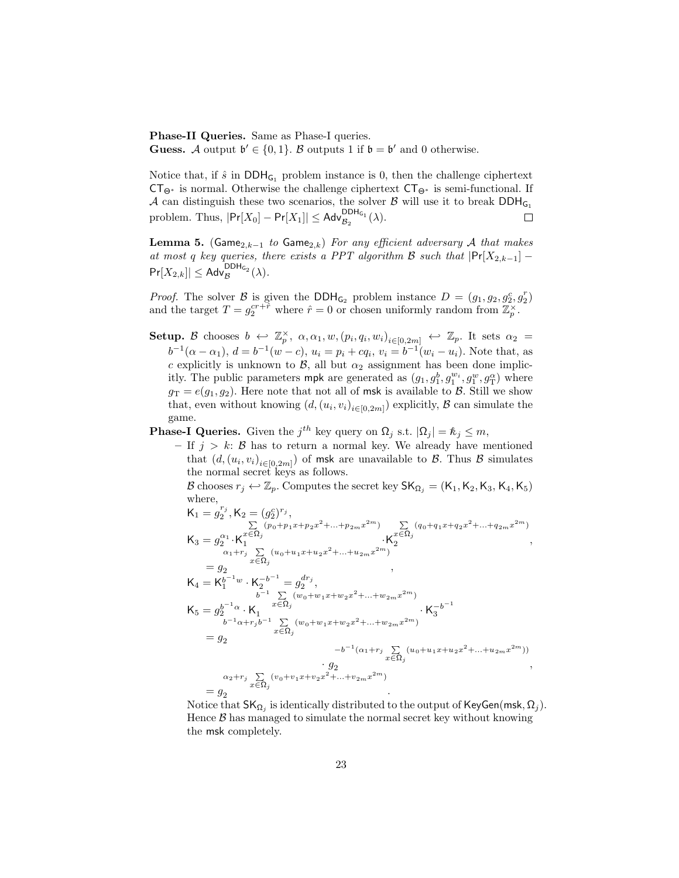Phase-II Queries. Same as Phase-I queries. **Guess.** A output  $\mathfrak{b}' \in \{0,1\}$ . B outputs 1 if  $\mathfrak{b} = \mathfrak{b}'$  and 0 otherwise.

Notice that, if  $\hat{s}$  in  $DDH_{G_1}$  problem instance is 0, then the challenge ciphertext  $CT_{\Theta^*}$  is normal. Otherwise the challenge ciphertext  $CT_{\Theta^*}$  is semi-functional. If A can distinguish these two scenarios, the solver B will use it to break  $DDH_{G_1}$ problem. Thus,  $|\Pr[X_0] - \Pr[X_1]| \leq \mathsf{Adv}_{\mathcal{B}_2}^{\mathsf{DDH}_{G_1}}(\lambda).$  $\Box$ 

**Lemma 5.** (Game<sub>2,k−1</sub> to Game<sub>2,k</sub>) For any efficient adversary A that makes at most q key queries, there exists a PPT algorithm B such that  $|\Pr[X_{2,k-1}]$  –  $\Pr[X_{2,k}]|\leq \mathsf{Adv}_{\mathcal{B}}^{\mathsf{DDH}_{\mathsf{G}_2}}(\lambda).$ 

*Proof.* The solver B is given the  $DDH_{G_2}$  problem instance  $D = (g_1, g_2, g_2^c, g_2^r)$ and the target  $T = g_2^{cr + \tilde{r}}$  where  $\hat{r} = 0$  or chosen uniformly random from  $\mathbb{Z}_p^{\times}$ .

- Setup. B chooses  $b \leftrightarrow \mathbb{Z}_p^{\times}$ ,  $\alpha, \alpha_1, w, (p_i, q_i, w_i)_{i \in [0, 2m]} \leftrightarrow \mathbb{Z}_p$ . It sets  $\alpha_2 =$  $b^{-1}(\alpha - \alpha_1), d = b^{-1}(w - c), u_i = p_i + cq_i, v_i = b^{-1}(w_i - u_i)$ . Note that, as c explicitly is unknown to  $\mathcal{B}$ , all but  $\alpha_2$  assignment has been done implicitly. The public parameters mpk are generated as  $(g_1, g_1^b, g_1^{w_i}, g_1^w, g_{\text{T}}^{\alpha})$  where  $g_T = e(g_1, g_2)$ . Here note that not all of msk is available to B. Still we show that, even without knowing  $(d, (u_i, v_i)_{i \in [0, 2m]})$  explicitly,  $\mathcal B$  can simulate the game.
- **Phase-I Queries.** Given the  $j^{th}$  key query on  $\Omega_j$  s.t.  $|\Omega_j| = \mathcal{R}_j \leq m$ ,
	- If  $j > k$ : B has to return a normal key. We already have mentioned that  $(d, (u_i, v_i)_{i \in [0, 2m]})$  of msk are unavailable to  $\mathcal{B}$ . Thus  $\mathcal{B}$  simulates the normal secret keys as follows.

B chooses  $r_j \leftrightarrow \mathbb{Z}_p$ . Computes the secret key  $\mathsf{SK}_{\Omega_j} = (\mathsf{K}_1, \mathsf{K}_2, \mathsf{K}_3, \mathsf{K}_4, \mathsf{K}_5)$ where,<br> $\kappa$  =  $e^{r_j}$ 

K<sup>1</sup> = g 2 ,K<sup>2</sup> = (g c 2 ) rj , K<sup>3</sup> = g α<sup>1</sup> 2 ·K P x∈Ω<sup>j</sup> (p0+p1x+p2x <sup>2</sup>+...+p2mx <sup>2</sup>m) 1 ·K P x∈Ω<sup>j</sup> (q0+q1x+q2x <sup>2</sup>+...+q2mx <sup>2</sup>m) 2 , = g α1+r<sup>j</sup> P x∈Ω<sup>j</sup> (u0+u1x+u2x <sup>2</sup>+...+u2mx <sup>2</sup>m) 2 , K<sup>4</sup> = K b <sup>−</sup>1w 1 · K −b −1 <sup>2</sup> = g dr<sup>j</sup> 2 , K<sup>5</sup> = g b <sup>−</sup>1α 2 · K b <sup>−</sup><sup>1</sup> P x∈Ω<sup>j</sup> (w0+w1x+w2x <sup>2</sup>+...+w2mx <sup>2</sup>m) 1 · K −b −1 3 = g b <sup>−</sup>1α+r<sup>j</sup> b <sup>−</sup><sup>1</sup> P x∈Ω<sup>j</sup> (w0+w1x+w2x <sup>2</sup>+...+w2mx <sup>2</sup>m) 2 · g −b −1 (α1+r<sup>j</sup> P x∈Ω<sup>j</sup> (u0+u1x+u2x <sup>2</sup>+...+u2mx <sup>2</sup>m)) 2 , = g α2+r<sup>j</sup> P x∈Ω<sup>j</sup> (v0+v1x+v2x <sup>2</sup>+...+v2mx <sup>2</sup>m) 2 .

Notice that  $\mathsf{SK}_{\Omega_j}$  is identically distributed to the output of  $\mathsf{KeyGen}(\mathsf{msk},\Omega_j).$ Hence  $\beta$  has managed to simulate the normal secret key without knowing the msk completely.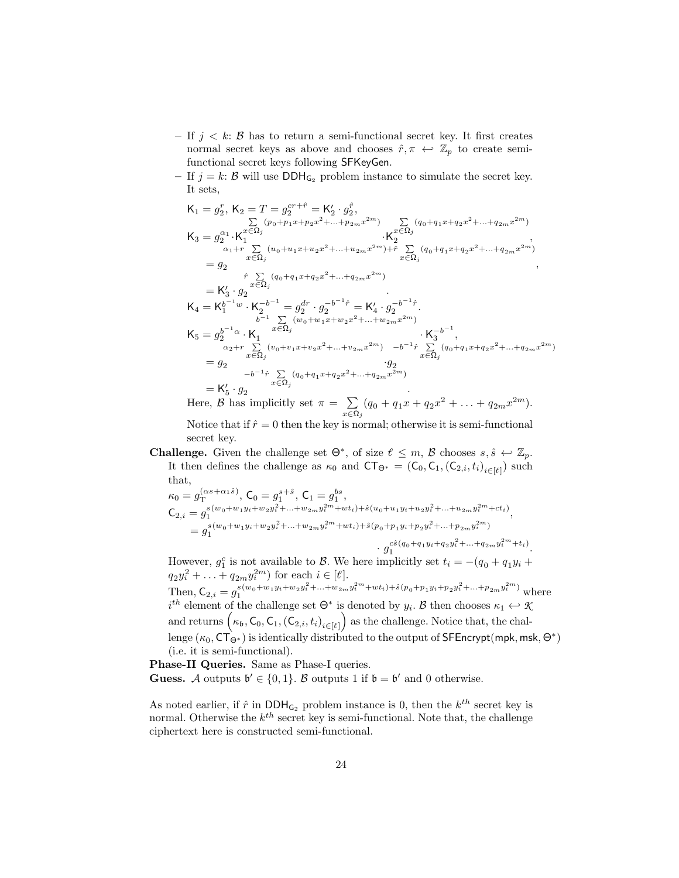- If  $j < k$ :  $\beta$  has to return a semi-functional secret key. It first creates normal secret keys as above and chooses  $\hat{r}, \pi \leftrightarrow \mathbb{Z}_p$  to create semifunctional secret keys following SFKeyGen.
- If  $j = k: \mathcal{B}$  will use DDH<sub>G<sub>2</sub></sub> problem instance to simulate the secret key. It sets,

$$
\begin{aligned} &\mathsf{K}_{1}=g_{2}^{r},\,\mathsf{K}_{2}=T=g_{2}^{c r+\hat{r}}=\mathsf{K}_{2}'\cdot g_{2}^{\hat{r}},\\ &\sum_{\alpha_{1}+r}\sum_{\sum_{\alpha_{2}}(u_{0}+u_{1}x+u_{2}x^{2}+\ldots +u_{2m}x^{2m})}\mathsf{K}_{2}^{2}(q_{0}+q_{1}x+q_{2}x^{2}+\ldots +q_{2m}x^{2m})\\ &\qquad \qquad \cdot\mathsf{K}_{2}^{\mathfrak{C}\Omega_{j}}\cdot\mathsf{K}_{2}^{\mathfrak{C}\Omega_{j}}\cdot\mathsf{K}_{2}^{\mathfrak{C}\Omega_{j}}\cdot\mathsf{K}_{2}^{\mathfrak{C}\Omega_{j}}\cdot\mathsf{K}_{2}^{\mathfrak{C}\Omega_{j}}\cdot\mathsf{K}_{2}^{\mathfrak{C}\Omega_{j}}\cdot\mathsf{K}_{2}^{\mathfrak{C}\Omega_{j}}\cdot\mathsf{K}_{2}^{\mathfrak{C}\Omega_{j}}\cdot\mathsf{K}_{2}^{\mathfrak{C}\Omega_{j}}\cdot\mathsf{K}_{2}^{\mathfrak{C}\Omega_{j}}\cdot\mathsf{K}_{2}^{\mathfrak{C}\Omega_{j}}\cdot\mathsf{K}_{2}^{\mathfrak{C}\Omega_{j}}\cdot\mathsf{K}_{2}^{\mathfrak{C}\Omega_{j}}\cdot\mathsf{K}_{2}^{\mathfrak{C}\Omega_{j}}\cdot\mathsf{K}_{2}^{\mathfrak{C}\Omega_{j}}\cdot\mathsf{K}_{2}^{\mathfrak{C}\Omega_{j}}\cdot\mathsf{K}_{2}^{\mathfrak{C}\Omega_{j}}\cdot\mathsf{K}_{2}^{\mathfrak{C}\Omega_{j}}\cdot\mathsf{K}_{2}^{\mathfrak{C}\Omega_{j}}\cdot\mathsf{K}_{2}^{\mathfrak{C}\Omega_{j}}\cdot\mathsf{K}_{2}^{\mathfrak{C}\Omega_{j}}\cdot\mathsf{K}_{2}^{\mathfrak{C}\Omega_{j}}\cdot\mathsf{K}_{2}^{\mathfrak{C}\Omega_{j}}\cdot\mathsf{K}_{2}^{\mathfrak{C}\Omega_{j}}\cdot\mathsf{K}_{2}^{\mathfrak{C}\Omega_{j}}\cdot\mathsf{K}_{2}^{\mathfrak{C}\Omega_{j}}\cdot\mathsf{K}_{2}^{\mathfrak{
$$

 $x\overline{\in}$ Ω<sub>j</sub> Notice that if  $\hat{r} = 0$  then the key is normal; otherwise it is semi-functional secret key.

**Challenge.** Given the challenge set  $\Theta^*$ , of size  $\ell \leq m$ ,  $\mathcal{B}$  chooses  $s, \hat{s} \leftrightarrow \mathbb{Z}_p$ . It then defines the challenge as  $\kappa_0$  and  $CT_{\Theta^*} = (C_0, C_1, (C_{2,i}, t_i)_{i \in [\ell]})$  such that,

$$
\begin{split} \kappa_0 &= g_{\mathrm{T}}^{(\alpha s + \alpha_1 \hat{s})}, \mathrm{C}_0 = g_1^{s+\hat{s}}, \mathrm{C}_1 = g_1^{bs}, \\ \mathrm{C}_{2,i} &= g_1^{s(w_0+w_1y_i+w_2y_i^2+\ldots+w_{2m}y_i^{2m}+wt_i)+\hat{s}(u_0+u_1y_i+u_2y_i^2+\ldots+u_{2m}y_i^{2m}+ct_i)} \\ &= g_1^{s(w_0+w_1y_i+w_2y_i^2+\ldots+w_{2m}y_i^{2m}+wt_i)+\hat{s}(p_0+p_1y_i+p_2y_i^2+\ldots+p_{2m}y_i^{2m})} \\ &\qquad \qquad \cdot g_{\mathrm{T}}^{c\hat{s}(q_0+q_1y_i+q_2y_i^2+\ldots+q_{2m}y_i^{2m}+t_i)} . \end{split}
$$

However,  $g_1^c$  is not available to  $\beta$ . We here implicitly set  $t_i = -(q_0 + q_1y_i +$  $q_2y_i^2 + \ldots + q_{2m}y_i^{2m}$  for each  $i \in [\ell]$ . Then,  $C_{2,i} = g_1^{s(w_0+w_1y_i+w_2y_i^2+...+w_{2m}y_i^{2m}+wt_i)+\hat{s}(p_0+p_1y_i+p_2y_i^2+...+p_{2m}y_i^{2m})}$  where  $i^{th}$  element of the challenge set  $\Theta^*$  is denoted by  $y_i$ . B then chooses  $\kappa_1 \leftarrow \mathcal{R}$ and returns  $(\kappa_{\mathfrak{b}}, \mathsf{C}_{0}, \mathsf{C}_{1}, (\mathsf{C}_{2,i}, t_i)_{i \in [\ell]} )$  as the challenge. Notice that, the challenge  $(\kappa_0, \mathsf{CT}_{\Theta^*})$  is identically distributed to the output of <code>SFEncrypt(mpk,msk, $\Theta^*)$ </code> (i.e. it is semi-functional).

Phase-II Queries. Same as Phase-I queries. **Guess.** A outputs  $\mathfrak{b}' \in \{0,1\}$ . B outputs 1 if  $\mathfrak{b} = \mathfrak{b}'$  and 0 otherwise.

As noted earlier, if  $\hat{r}$  in DDH<sub>G<sub>2</sub></sub> problem instance is 0, then the  $k^{th}$  secret key is normal. Otherwise the  $k^{th}$  secret key is semi-functional. Note that, the challenge ciphertext here is constructed semi-functional.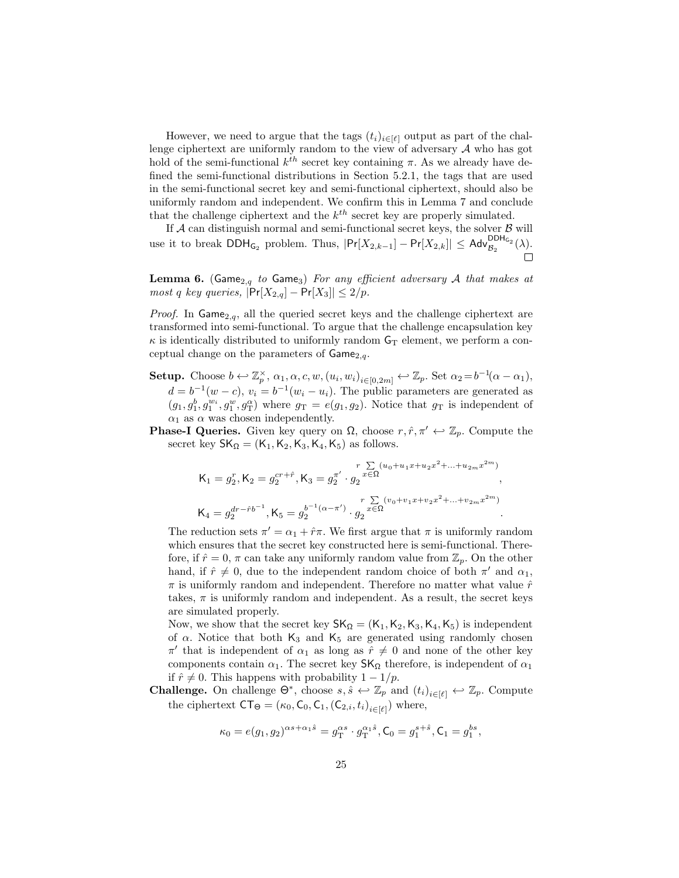However, we need to argue that the tags  $(t_i)_{i\in[\ell]}$  output as part of the challenge ciphertext are uniformly random to the view of adversary  $A$  who has got hold of the semi-functional  $k^{th}$  secret key containing  $\pi$ . As we already have defined the semi-functional distributions in Section 5.2.1, the tags that are used in the semi-functional secret key and semi-functional ciphertext, should also be uniformly random and independent. We confirm this in Lemma 7 and conclude that the challenge ciphertext and the  $k^{th}$  secret key are properly simulated.

If  $A$  can distinguish normal and semi-functional secret keys, the solver  $B$  will use it to break  $\text{DDH}_{G_2}$  problem. Thus,  $|\text{Pr}[X_{2,k-1}] - \text{Pr}[X_{2,k}]| \leq \text{Adv}_{\mathcal{B}_2}^{\text{DDH}_{G_2}}(\lambda)$ .  $\Box$ 

**Lemma 6.** (Game<sub>2,q</sub> to Game<sub>3</sub>) For any efficient adversary A that makes at most q key queries,  $|\Pr[X_{2,q}] - \Pr[X_3]| \leq 2/p$ .

*Proof.* In  $\textsf{Game}_{2,q}$ , all the queried secret keys and the challenge ciphertext are transformed into semi-functional. To argue that the challenge encapsulation key  $\kappa$  is identically distributed to uniformly random  $G_T$  element, we perform a conceptual change on the parameters of  $Game_{2,q}$ .

- Setup. Choose  $b \leftarrow \mathbb{Z}_p^{\times}$ ,  $\alpha_1, \alpha, c, w, (u_i, w_i)_{i \in [0, 2m]} \leftarrow \mathbb{Z}_p$ . Set  $\alpha_2 = b^{-1}(\alpha \alpha_1)$ ,  $d = b^{-1}(w - c)$ ,  $v_i = b^{-1}(w_i - u_i)$ . The public parameters are generated as  $(g_1, g_1^b, g_1^{w_i}, g_1^{\alpha}, g_1^{\alpha})$  where  $g_T = e(g_1, g_2)$ . Notice that  $g_T$  is independent of  $\alpha_1$  as  $\alpha$  was chosen independently.
- **Phase-I Queries.** Given key query on  $\Omega$ , choose  $r, \hat{r}, \pi' \leftrightarrow \mathbb{Z}_p$ . Compute the secret key  $SK_{\Omega} = (K_1, K_2, K_3, K_4, K_5)$  as follows.

$$
\begin{aligned} \mathsf{K}_1 &= g_2^r, \mathsf{K}_2 = g_2^{cr + \hat{r}}, \mathsf{K}_3 = g_2^{\pi'} \cdot g_2^{\frac{r}{2 \cdot \zeta \Omega} (u_0 + u_1 x + u_2 x^2 + \dots + u_{2m} x^{2m})}, \\ \mathsf{K}_4 &= g_2^{dr - \hat{r} b^{-1}}, \mathsf{K}_5 = g_2^{b^{-1} (\alpha - \pi')} \cdot g_2^{\frac{r}{2 \cdot \zeta \Omega} (v_0 + v_1 x + v_2 x^2 + \dots + v_{2m} x^{2m})}. \end{aligned}
$$

The reduction sets  $\pi' = \alpha_1 + \hat{r}\pi$ . We first argue that  $\pi$  is uniformly random which ensures that the secret key constructed here is semi-functional. Therefore, if  $\hat{r} = 0$ ,  $\pi$  can take any uniformly random value from  $\mathbb{Z}_p$ . On the other hand, if  $\hat{r} \neq 0$ , due to the independent random choice of both  $\pi'$  and  $\alpha_1$ ,  $\pi$  is uniformly random and independent. Therefore no matter what value  $\hat{r}$ takes,  $\pi$  is uniformly random and independent. As a result, the secret keys are simulated properly.

Now, we show that the secret key  $SK_{\Omega} = (K_1, K_2, K_3, K_4, K_5)$  is independent of  $\alpha$ . Notice that both K<sub>3</sub> and K<sub>5</sub> are generated using randomly chosen  $\pi'$  that is independent of  $\alpha_1$  as long as  $\hat{r} \neq 0$  and none of the other key components contain  $\alpha_1$ . The secret key  $\mathsf{SK}_\Omega$  therefore, is independent of  $\alpha_1$ if  $\hat{r} \neq 0$ . This happens with probability  $1 - 1/p$ .

**Challenge.** On challenge  $\Theta^*$ , choose  $s, \hat{s} \leftrightarrow \mathbb{Z}_p$  and  $(t_i)_{i \in [\ell]} \leftrightarrow \mathbb{Z}_p$ . Compute the ciphertext  $CT_{\Theta} = (\kappa_0, C_0, C_1, (C_{2,i}, t_i)_{i \in [\ell]})$  where,

$$
\kappa_0 = e(g_1, g_2)^{\alpha s + \alpha_1 \hat{s}} = g_{\mathrm{T}}^{\alpha s} \cdot g_{\mathrm{T}}^{\alpha_1 \hat{s}}, \mathsf{C}_0 = g_1^{s + \hat{s}}, \mathsf{C}_1 = g_1^{bs},
$$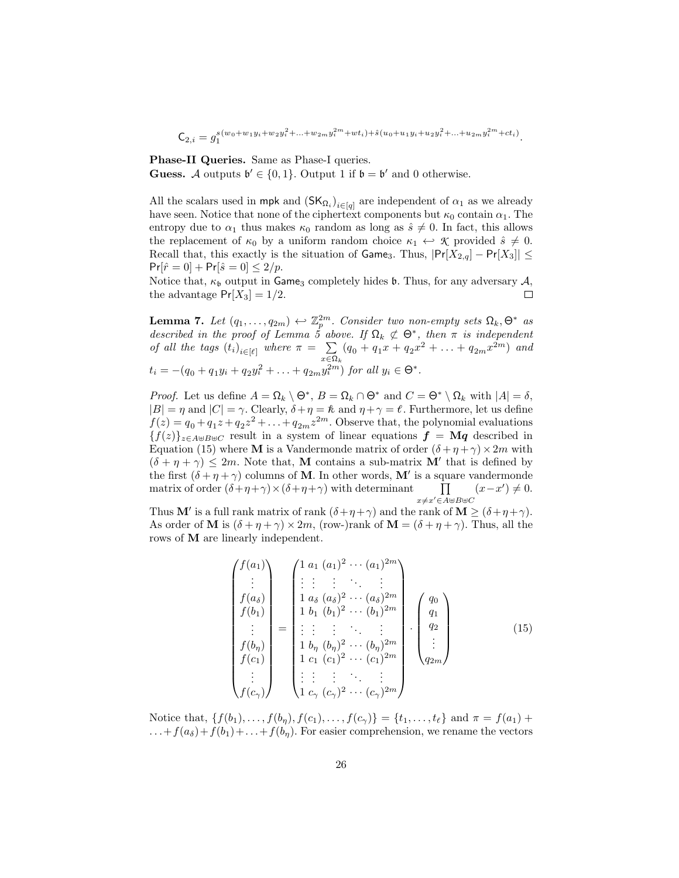$\mathsf{C}_{2,i} = g_1^{s(w_0+w_1y_i+w_2y_i^2+...+w_{2m}y_i^{2m}+wt_i)+\hat{s}(u_0+u_1y_i+u_2y_i^2+...+u_{2m}y_i^{2m}+ct_i)}.$ 

Phase-II Queries. Same as Phase-I queries. Guess. A outputs  $\mathfrak{b}' \in \{0,1\}$ . Output 1 if  $\mathfrak{b} = \mathfrak{b}'$  and 0 otherwise.

All the scalars used in mpk and  $(SK_{\Omega_i})_{i \in [q]}$  are independent of  $\alpha_1$  as we already have seen. Notice that none of the ciphertext components but  $\kappa_0$  contain  $\alpha_1$ . The entropy due to  $\alpha_1$  thus makes  $\kappa_0$  random as long as  $\hat{s} \neq 0$ . In fact, this allows the replacement of  $\kappa_0$  by a uniform random choice  $\kappa_1 \leftrightarrow \mathcal{K}$  provided  $\hat{s} \neq 0$ . Recall that, this exactly is the situation of Game<sub>3</sub>. Thus,  $|Pr[X_{2,q}] - Pr[X_3]| \leq$  $Pr[\hat{r} = 0] + Pr[\hat{s} = 0] \leq 2/p.$ 

Notice that,  $\kappa_{\mathfrak{b}}$  output in Game<sub>3</sub> completely hides  $\mathfrak{b}$ . Thus, for any adversary  $\mathcal{A}$ , the advantage  $Pr[X_3] = 1/2$ .  $\Box$ 

**Lemma 7.** Let  $(q_1, \ldots, q_{2m}) \leftrightarrow \mathbb{Z}_p^{2m}$ . Consider two non-empty sets  $\Omega_k, \Theta^*$  as described in the proof of Lemma 5 above. If  $\Omega_k \not\subset \Theta^*$ , then  $\pi$  is independent of all the tags  $(t_i)_{i \in [\ell]}$  where  $\pi = \sum_i$  $\sum_{x \in \Omega_k} (q_0 + q_1 x + q_2 x^2 + \ldots + q_{2m} x^{2m})$  and  $t_i = -(q_0 + q_1y_i + q_2y_i^2 + \ldots + q_{2m}y_i^{2m})$  for all  $y_i \in \Theta^*$ .

*Proof.* Let us define  $A = \Omega_k \setminus \Theta^*$ ,  $B = \Omega_k \cap \Theta^*$  and  $C = \Theta^* \setminus \Omega_k$  with  $|A| = \delta$ ,  $|B| = \eta$  and  $|C| = \gamma$ . Clearly,  $\delta + \eta = \ell$  and  $\eta + \gamma = \ell$ . Furthermore, let us define  $f(z) = q_0 + q_1 z + q_2 z^2 + \ldots + q_{2m} z^{2m}$ . Observe that, the polynomial evaluations  ${f(z)}_{z\in A\oplus B\oplus C}$  result in a system of linear equations  $f = Mq$  described in Equation (15) where **M** is a Vandermonde matrix of order  $(\delta + \eta + \gamma) \times 2m$  with  $(\delta + \eta + \gamma) \leq 2m$ . Note that, **M** contains a sub-matrix **M'** that is defined by the first  $(\delta + \eta + \gamma)$  columns of **M**. In other words, **M'** is a square vandermonde matrix of order  $(\delta + \eta + \gamma) \times (\delta + \eta + \gamma)$  with determinant  $x\neq x' \in A\uplus B\uplus C$  $(x-x') \neq 0.$ 

Thus **M'** is a full rank matrix of rank  $(\delta + \eta + \gamma)$  and the rank of  $\mathbf{M} \geq (\delta + \eta + \gamma)$ . As order of M is  $(\delta + \eta + \gamma) \times 2m$ , (row-)rank of  $M = (\delta + \eta + \gamma)$ . Thus, all the rows of M are linearly independent.

$$
\begin{pmatrix}\nf(a_1) \\
\vdots \\
f(a_\delta) \\
f(b_1) \\
\vdots \\
f(b_n) \\
f(c_1) \\
\vdots \\
f(c_\gamma)\n\end{pmatrix} = \begin{pmatrix}\n1 & a_1 (a_1)^2 \cdots (a_1)^{2m} \\
\vdots & \vdots & \ddots & \vdots \\
1 & a_\delta (a_\delta)^2 \cdots (a_\delta)^{2m} \\
1 & b_1 (b_1)^2 \cdots (b_1)^{2m} \\
\vdots & \vdots & \ddots & \vdots \\
1 & b_n (b_n)^2 \cdots (b_n)^{2m} \\
1 & c_1 (c_1)^2 \cdots (c_1)^{2m} \\
\vdots & \vdots & \vdots & \ddots & \vdots \\
1 & c_\gamma (c_\gamma)^2 \cdots (c_\gamma)^{2m}\n\end{pmatrix} \cdot \begin{pmatrix}\nq_0 \\
q_1 \\
q_2 \\
\vdots \\
q_{2m}\n\end{pmatrix}
$$
\n(15)

Notice that,  $\{f(b_1), \ldots, f(b_n), f(c_1), \ldots, f(c_\gamma)\} = \{t_1, \ldots, t_\ell\}$  and  $\pi = f(a_1) +$  $\dots+f(a_{\delta})+f(b_1)+\dots+f(b_n)$ . For easier comprehension, we rename the vectors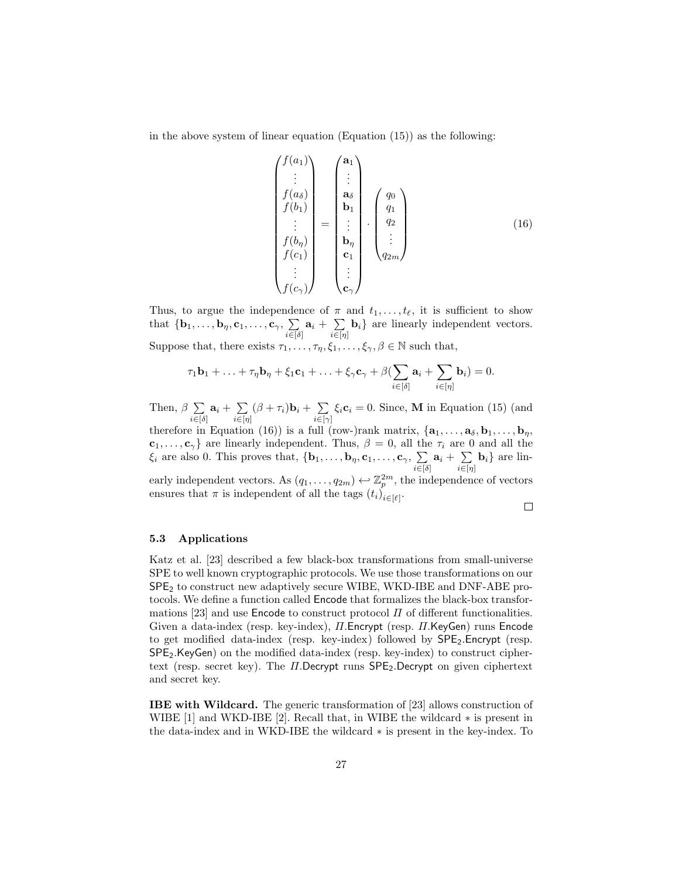in the above system of linear equation (Equation (15)) as the following:

$$
\begin{pmatrix}\nf(a_1) \\
\vdots \\
f(a_\delta) \\
f(b_1) \\
\vdots \\
f(b_\eta) \\
f(c_1) \\
\vdots \\
f(c_\gamma)\n\end{pmatrix} = \begin{pmatrix}\n\mathbf{a}_1 \\
\vdots \\
\mathbf{a}_\delta \\
\mathbf{b}_1 \\
\vdots \\
\mathbf{b}_\eta \\
\mathbf{c}_1 \\
\vdots \\
\mathbf{c}_\gamma\n\end{pmatrix} \cdot \begin{pmatrix}\nq_0 \\
q_1 \\
q_2 \\
\vdots \\
q_{2m}\n\end{pmatrix}
$$
\n(16)

Thus, to argue the independence of  $\pi$  and  $t_1, \ldots, t_{\ell}$ , it is sufficient to show that  $\{\mathbf{b}_1,\ldots,\mathbf{b}_\eta,\mathbf{c}_1,\ldots,\mathbf{c}_\gamma,\ \sum\limits$  $\sum\limits_{i \in [\delta]} \mathbf{a}_i + \sum\limits_{i \in [\eta]}$  $\sum_{i\in[\eta]}$  **b**<sub>i</sub>} are linearly independent vectors. Suppose that, there exists  $\tau_1, \ldots, \tau_{\eta}, \xi_1, \ldots, \xi_{\gamma}, \beta \in \mathbb{N}$  such that,

$$
\tau_1 \mathbf{b}_1 + \ldots + \tau_\eta \mathbf{b}_\eta + \xi_1 \mathbf{c}_1 + \ldots + \xi_\gamma \mathbf{c}_\gamma + \beta \left( \sum_{i \in [\delta]} \mathbf{a}_i + \sum_{i \in [\eta]} \mathbf{b}_i \right) = 0.
$$

Then,  $\beta$   $\Sigma$  $\sum\limits_{i \in [\delta]} \mathbf{a}_i + \sum\limits_{i \in [\eta]}$  $\sum_{i\in[\eta]}(\beta+\tau_i)\mathbf{b}_i+\sum_{i\in[\gamma]}$  $\sum_{i\in[\gamma]} \xi_i \mathbf{c}_i = 0$ . Since, **M** in Equation (15) (and

therefore in Equation (16)) is a full (row-)rank matrix,  $\{a_1, \ldots, a_\delta, b_1, \ldots, b_\eta,$  $c_1, \ldots, c_\gamma$  are linearly independent. Thus,  $\beta = 0$ , all the  $\tau_i$  are 0 and all the  $\xi_i$  are also 0. This proves that,  $\{\mathbf{b}_1,\ldots,\mathbf{b}_\eta,\mathbf{c}_1,\ldots,\mathbf{c}_\gamma,\ \sum\}$  $\sum\limits_{i \in [\delta]} \mathbf{a}_i + \sum\limits_{i \in [\eta]}$  $\sum_{i\in[\eta]}$ **b**<sub>i</sub>} are lin-

early independent vectors. As  $(q_1, \ldots, q_{2m}) \leftrightarrow \mathbb{Z}_p^{2m}$ , the independence of vectors ensures that  $\pi$  is independent of all the tags  $(t_i)_{i \in [\ell]}$ .

 $\Box$ 

#### 5.3 Applications

Katz et al. [23] described a few black-box transformations from small-universe SPE to well known cryptographic protocols. We use those transformations on our SPE<sup>2</sup> to construct new adaptively secure WIBE, WKD-IBE and DNF-ABE protocols. We define a function called Encode that formalizes the black-box transformations [23] and use **Encode** to construct protocol  $\Pi$  of different functionalities. Given a data-index (resp. key-index), Π.Encrypt (resp. Π.KeyGen) runs Encode to get modified data-index (resp. key-index) followed by  $\mathsf{SPE}_2$ . Encrypt (resp. SPE2.KeyGen) on the modified data-index (resp. key-index) to construct ciphertext (resp. secret key). The  $\Pi$ .Decrypt runs  $\mathsf{SPE}_2$ .Decrypt on given ciphertext and secret key.

IBE with Wildcard. The generic transformation of [23] allows construction of WIBE [1] and WKD-IBE [2]. Recall that, in WIBE the wildcard ∗ is present in the data-index and in WKD-IBE the wildcard ∗ is present in the key-index. To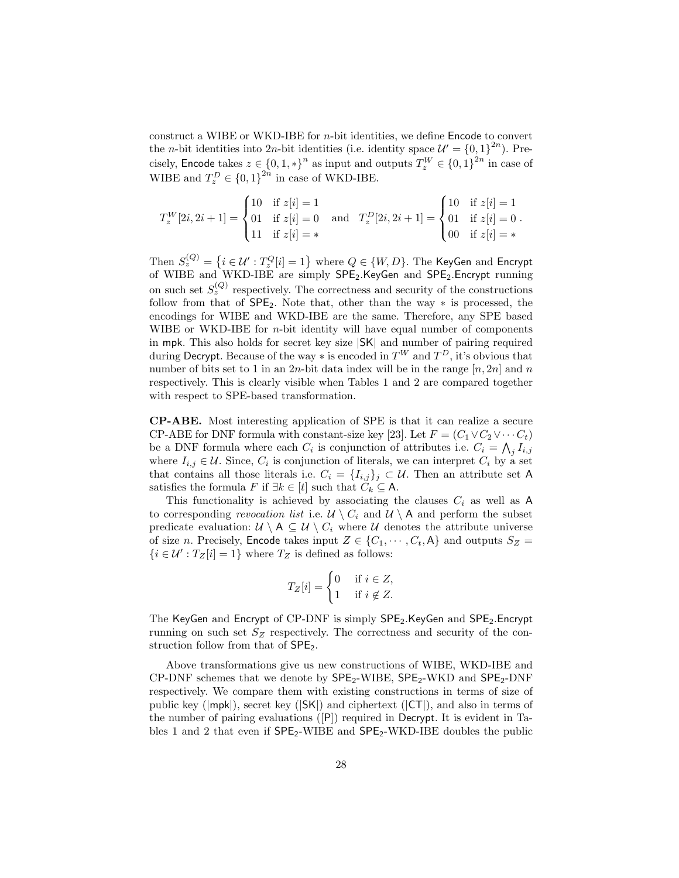construct a WIBE or WKD-IBE for  $n$ -bit identities, we define Encode to convert the *n*-bit identities into 2*n*-bit identities (i.e. identity space  $\mathcal{U}' = \{0, 1\}^{2n}$ ). Precisely, Encode takes  $z \in \{0, 1, *\}^n$  as input and outputs  $T_z^W \in \{0, 1\}^{2n}$  in case of WIBE and  $T_z^D \in \{0,1\}^{2n}$  in case of WKD-IBE.

$$
T_z^W[2i, 2i+1] = \begin{cases} 10 & \text{if } z[i] = 1 \\ 01 & \text{if } z[i] = 0 \\ 11 & \text{if } z[i] = * \end{cases} \text{ and } T_z^D[2i, 2i+1] = \begin{cases} 10 & \text{if } z[i] = 1 \\ 01 & \text{if } z[i] = 0 \\ 00 & \text{if } z[i] = * \end{cases}
$$

Then  $S_z^{(Q)}=\left\{i\in\mathcal{U}': T_z^Q[i]=1\right\}$  where  $Q\in\{W,D\}.$  The KeyGen and Encrypt of WIBE and WKD-IBE are simply SPE<sub>2</sub>.KeyGen and SPE<sub>2</sub>.Encrypt running on such set  $S_z^{(Q)}$  respectively. The correctness and security of the constructions follow from that of  $SPE<sub>2</sub>$ . Note that, other than the way  $*$  is processed, the encodings for WIBE and WKD-IBE are the same. Therefore, any SPE based WIBE or WKD-IBE for  $n$ -bit identity will have equal number of components in mpk. This also holds for secret key size |SK| and number of pairing required during Decrypt. Because of the way  $*$  is encoded in  $T^W$  and  $T^D$ , it's obvious that number of bits set to 1 in an 2n-bit data index will be in the range  $[n, 2n]$  and n respectively. This is clearly visible when Tables 1 and 2 are compared together with respect to SPE-based transformation.

CP-ABE. Most interesting application of SPE is that it can realize a secure CP-ABE for DNF formula with constant-size key [23]. Let  $F = (C_1 \vee C_2 \vee \cdots \vee C_t)$ be a DNF formula where each  $C_i$  is conjunction of attributes i.e.  $C_i = \bigwedge_j I_{i,j}$ where  $I_{i,j} \in \mathcal{U}$ . Since,  $C_i$  is conjunction of literals, we can interpret  $C_i$  by a set that contains all those literals i.e.  $C_i = \{I_{i,j}\}_j \subset \mathcal{U}$ . Then an attribute set A satisfies the formula F if  $\exists k \in [t]$  such that  $C_k \subseteq A$ .

This functionality is achieved by associating the clauses  $C_i$  as well as A to corresponding revocation list i.e.  $\mathcal{U} \setminus C_i$  and  $\mathcal{U} \setminus A$  and perform the subset predicate evaluation:  $U \setminus A \subseteq U \setminus C_i$  where U denotes the attribute universe of size n. Precisely, Encode takes input  $Z \in \{C_1, \dots, C_t, A\}$  and outputs  $S_Z =$  $\{i \in \mathcal{U}': T_Z[i] = 1\}$  where  $T_Z$  is defined as follows:

$$
T_Z[i] = \begin{cases} 0 & \text{if } i \in Z, \\ 1 & \text{if } i \notin Z. \end{cases}
$$

The KeyGen and Encrypt of CP-DNF is simply SPE<sub>2</sub>.KeyGen and SPE<sub>2</sub>.Encrypt running on such set  $S_Z$  respectively. The correctness and security of the construction follow from that of  $SPE<sub>2</sub>$ .

Above transformations give us new constructions of WIBE, WKD-IBE and  $CP$ -DNF schemes that we denote by  $SPE_2$ -WIBE,  $SPE_2$ -WKD and  $SPE_2$ -DNF respectively. We compare them with existing constructions in terms of size of public key ( $|mp\mathbf{k}|$ ), secret key ( $|\mathsf{SK}|$ ) and ciphertext ( $|\mathsf{CT}|$ ), and also in terms of the number of pairing evaluations ([P]) required in Decrypt. It is evident in Tables 1 and 2 that even if  $\mathsf{SPE}_2$ -WIBE and  $\mathsf{SPE}_2$ -WKD-IBE doubles the public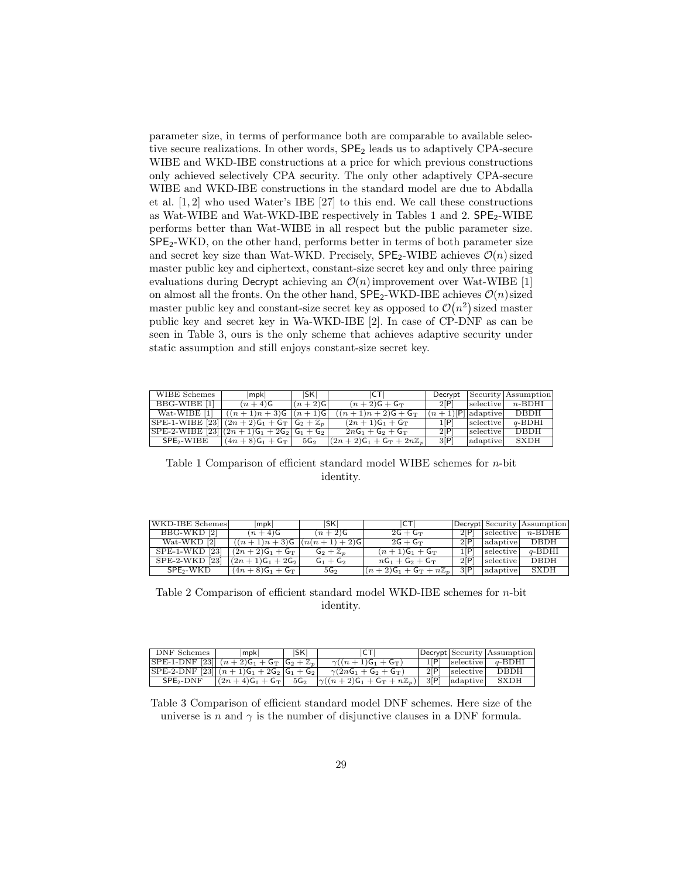parameter size, in terms of performance both are comparable to available selective secure realizations. In other words,  $SPE<sub>2</sub>$  leads us to adaptively CPA-secure WIBE and WKD-IBE constructions at a price for which previous constructions only achieved selectively CPA security. The only other adaptively CPA-secure WIBE and WKD-IBE constructions in the standard model are due to Abdalla et al. [1, 2] who used Water's IBE [27] to this end. We call these constructions as Wat-WIBE and Wat-WKD-IBE respectively in Tables 1 and 2.  $\text{SPE}_2$ -WIBE performs better than Wat-WIBE in all respect but the public parameter size. SPE2-WKD, on the other hand, performs better in terms of both parameter size and secret key size than Wat-WKD. Precisely,  $\mathsf{SPE}_2$ -WIBE achieves  $\mathcal{O}(n)$  sized master public key and ciphertext, constant-size secret key and only three pairing evaluations during Decrypt achieving an  $\mathcal{O}(n)$  improvement over Wat-WIBE [1] on almost all the fronts. On the other hand,  $\text{SPE}_2\text{-}\text{WKD-}IBE$  achieves  $\mathcal{O}(n)$  sized master public key and constant-size secret key as opposed to  $\mathcal{O}(n^2)$  sized master public key and secret key in Wa-WKD-IBE [2]. In case of CP-DNF as can be seen in Table 3, ours is the only scheme that achieves adaptive security under static assumption and still enjoys constant-size secret key.

| WIBE Schemes                                      | lmpkl                                      | ISKI            | C                                  |                     |           | Decrypt   Security   Assumption |
|---------------------------------------------------|--------------------------------------------|-----------------|------------------------------------|---------------------|-----------|---------------------------------|
| BBG-WIBE [1]                                      | $(n+4)$ G                                  | $(n+2)$ G       | $(n+2)G + G_T$                     | 2[P]                | selective | $n$ -BDHI                       |
| Wat-WIBE [1]                                      | $\left  \right.$ $((n+1)n+3)$ G $ (n+1)$ G |                 | $(n+1)n + 2$ G + G <sub>T</sub>    | $(n+1)[P]$ adaptive |           | DBDH                            |
| $SPE-1-WIBE [23] (2n+2)G_1 + G_T   G_2 + Z_p  $   |                                            |                 | $(2n+1)G_1 + G_T$                  | 1[P]                | selective | $q$ -BDHI                       |
| $[SPE-2-WIDE [23]   (2n + 1)G1 + 2G2   G1 + G2 ]$ |                                            |                 | $2nG_1 + G_2 + G_T$                | 2[P]                | selective | <b>DBDH</b>                     |
| SPE <sub>2</sub> -WIBE                            | $(4n+8)G_1+G_T$                            | 5G <sub>2</sub> | $(2n+2)G_1 + G_T + 2n\mathbb{Z}_p$ | 3[P]                | adaptive  | SXDH                            |

Table 1 Comparison of efficient standard model WIBE schemes for  $n$ -bit identity.

| WKD-IBE Schemes       | mpk                            | ISKI                 | ICTI                             |      |           | Decrypt Security Assumption |
|-----------------------|--------------------------------|----------------------|----------------------------------|------|-----------|-----------------------------|
| BBG-WKD [2]           | $(n+4)$ G                      | $(n+2)$ G            | $2G + G_T$                       | 2[P] |           | $ selective $ n-BDHE        |
| Wat-WKD [2]           | $((n+1)n+3)$ G $ (n(n+1)+2)$ G |                      | $2G + G_T$                       | 2[P] | adaptive  | DBDH                        |
| SPE-1-WKD [23]        | $(2n+2)G_1 + G_T$              | $G_2 + \mathbb{Z}_n$ | $(n+1)G_1 + G_T$                 | 1[P] | selective | $q$ -BDHI                   |
| $SPE-2-WKD$ [23]      | $(2n+1)G_1+2G_2$               | $G_1 + G_2$          | $nG_1 + G_2 + G_T$               | 2[P] | selective | DBDH                        |
| SPE <sub>2</sub> -WKD | $(4n+8)G_1+G_T$                | 5G <sub>2</sub>      | $(n+2)G_1 + G_T + n\mathbb{Z}_p$ | 3[P] | adaptive  | SXDH                        |

Table 2 Comparison of efficient standard model WKD-IBE schemes for n-bit identity.

| DNF Schemes                                             | lmpkl               | ISKI            | ICT                                                      |                    | Decrypt Security Assumption |
|---------------------------------------------------------|---------------------|-----------------|----------------------------------------------------------|--------------------|-----------------------------|
| $ SPE-1-DNF$ [23] $(n+2)G_1 + G_T  G_2 + \mathbb{Z}_p $ |                     |                 | $\gamma((n+1)\mathsf{G}_1+\mathsf{G}_\mathrm{T})$        | $1[P]$ selective   | $q$ -BDHI                   |
| $SPE-2-DNF$ [23] $(n+1)G_1 + 2G_2   G_1 + G_2  $        |                     |                 | $\gamma(2nG_1 + G_2 + G_T)$                              | 2P selective       | DBDH                        |
| $SPE2-DNF$                                              | $ (2n+4)G_1 + G_T $ | 5G <sub>2</sub> | $ \gamma((n+2)\mathsf{G}_1+\mathsf{G}_T+n\mathbb{Z}_p) $ | $ 3 P $   adaptive | ${\rm SXDH}$                |

Table 3 Comparison of efficient standard model DNF schemes. Here size of the universe is n and  $\gamma$  is the number of disjunctive clauses in a DNF formula.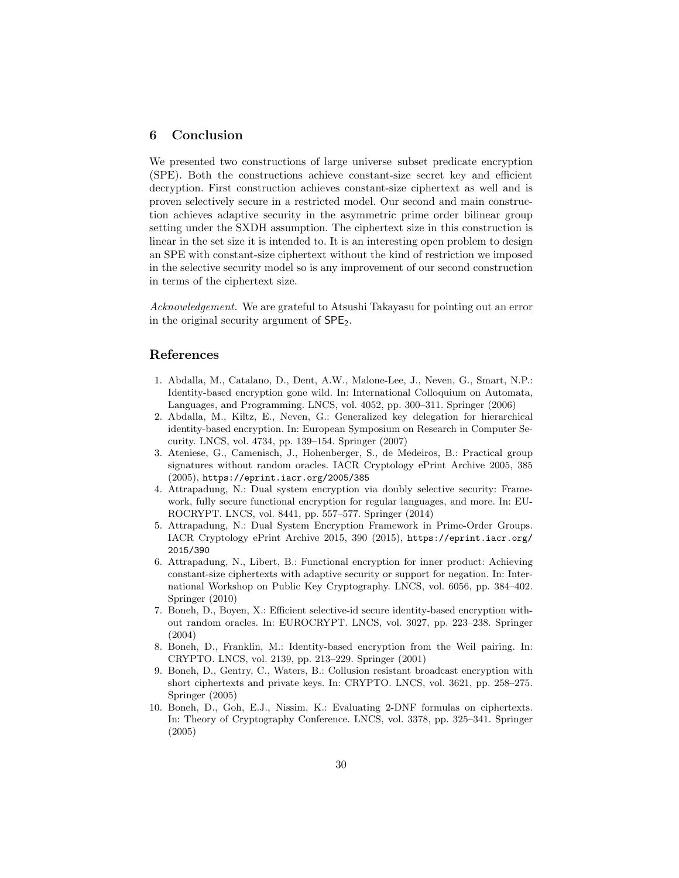# 6 Conclusion

We presented two constructions of large universe subset predicate encryption (SPE). Both the constructions achieve constant-size secret key and efficient decryption. First construction achieves constant-size ciphertext as well and is proven selectively secure in a restricted model. Our second and main construction achieves adaptive security in the asymmetric prime order bilinear group setting under the SXDH assumption. The ciphertext size in this construction is linear in the set size it is intended to. It is an interesting open problem to design an SPE with constant-size ciphertext without the kind of restriction we imposed in the selective security model so is any improvement of our second construction in terms of the ciphertext size.

Acknowledgement. We are grateful to Atsushi Takayasu for pointing out an error in the original security argument of  $SPE<sub>2</sub>$ .

# References

- 1. Abdalla, M., Catalano, D., Dent, A.W., Malone-Lee, J., Neven, G., Smart, N.P.: Identity-based encryption gone wild. In: International Colloquium on Automata, Languages, and Programming. LNCS, vol. 4052, pp. 300–311. Springer (2006)
- 2. Abdalla, M., Kiltz, E., Neven, G.: Generalized key delegation for hierarchical identity-based encryption. In: European Symposium on Research in Computer Security. LNCS, vol. 4734, pp. 139–154. Springer (2007)
- 3. Ateniese, G., Camenisch, J., Hohenberger, S., de Medeiros, B.: Practical group signatures without random oracles. IACR Cryptology ePrint Archive 2005, 385 (2005), https://eprint.iacr.org/2005/385
- 4. Attrapadung, N.: Dual system encryption via doubly selective security: Framework, fully secure functional encryption for regular languages, and more. In: EU-ROCRYPT. LNCS, vol. 8441, pp. 557–577. Springer (2014)
- 5. Attrapadung, N.: Dual System Encryption Framework in Prime-Order Groups. IACR Cryptology ePrint Archive 2015, 390 (2015), https://eprint.iacr.org/ 2015/390
- 6. Attrapadung, N., Libert, B.: Functional encryption for inner product: Achieving constant-size ciphertexts with adaptive security or support for negation. In: International Workshop on Public Key Cryptography. LNCS, vol. 6056, pp. 384–402. Springer (2010)
- 7. Boneh, D., Boyen, X.: Efficient selective-id secure identity-based encryption without random oracles. In: EUROCRYPT. LNCS, vol. 3027, pp. 223–238. Springer (2004)
- 8. Boneh, D., Franklin, M.: Identity-based encryption from the Weil pairing. In: CRYPTO. LNCS, vol. 2139, pp. 213–229. Springer (2001)
- 9. Boneh, D., Gentry, C., Waters, B.: Collusion resistant broadcast encryption with short ciphertexts and private keys. In: CRYPTO. LNCS, vol. 3621, pp. 258–275. Springer (2005)
- 10. Boneh, D., Goh, E.J., Nissim, K.: Evaluating 2-DNF formulas on ciphertexts. In: Theory of Cryptography Conference. LNCS, vol. 3378, pp. 325–341. Springer (2005)